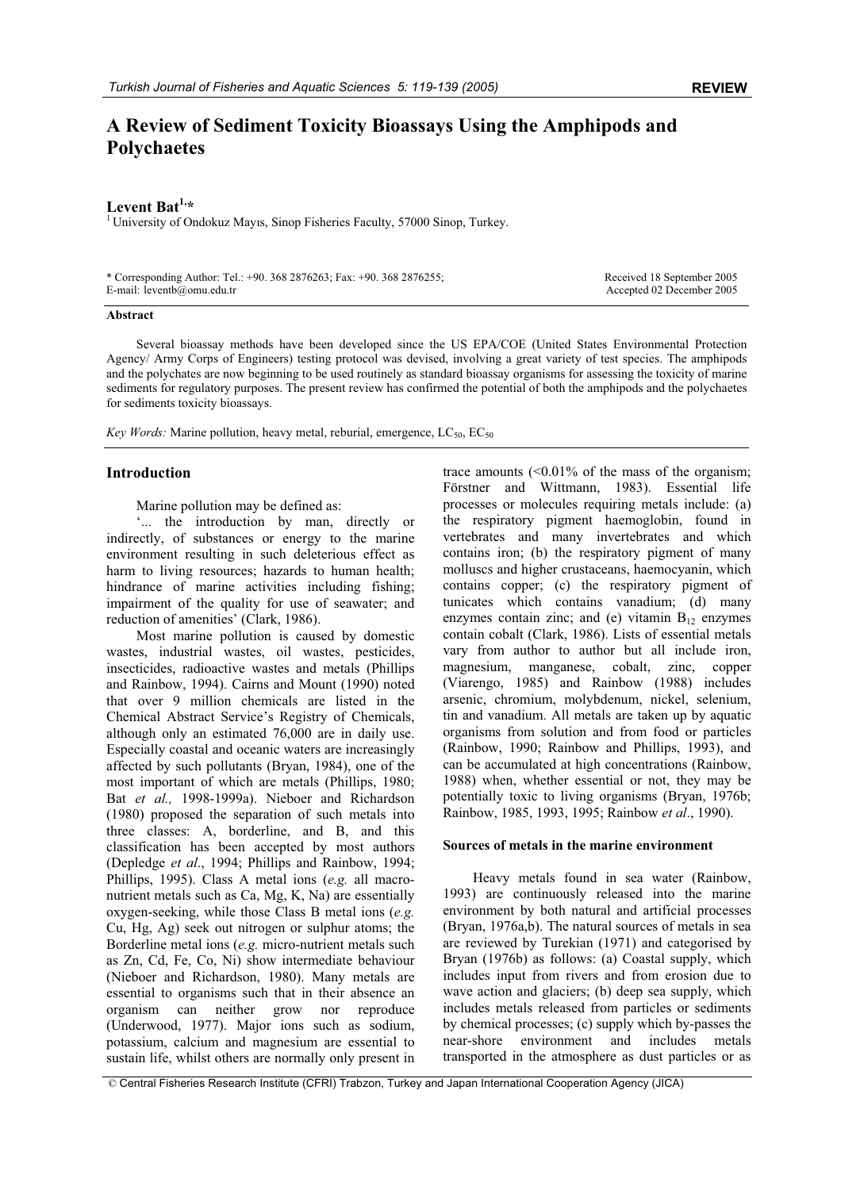# **A Review of Sediment Toxicity Bioassays Using the Amphipods and Polychaetes**

**Levent Bat<sup>1,\*</sup>**<br><sup>1</sup> University of Ondokuz Mayıs, Sinop Fisheries Faculty, 57000 Sinop, Turkey.

| * Corresponding Author: Tel.: +90. 368 2876263; Fax: +90. 368 2876255; | Received 18 September 2005 |
|------------------------------------------------------------------------|----------------------------|
| E-mail: $leventb(\omega)$ omu.edu.tr                                   | Accepted 02 December 2005  |

### **Abstract**

Several bioassay methods have been developed since the US EPA/COE (United States Environmental Protection Agency/ Army Corps of Engineers) testing protocol was devised, involving a great variety of test species. The amphipods and the polychates are now beginning to be used routinely as standard bioassay organisms for assessing the toxicity of marine sediments for regulatory purposes. The present review has confirmed the potential of both the amphipods and the polychaetes for sediments toxicity bioassays.

*Key Words:* Marine pollution, heavy metal, reburial, emergence,  $LC_{50}$ ,  $EC_{50}$ 

# **Introduction**

Marine pollution may be defined as:

'... the introduction by man, directly or indirectly, of substances or energy to the marine environment resulting in such deleterious effect as harm to living resources; hazards to human health; hindrance of marine activities including fishing; impairment of the quality for use of seawater; and reduction of amenities' (Clark, 1986).

Most marine pollution is caused by domestic wastes, industrial wastes, oil wastes, pesticides, insecticides, radioactive wastes and metals (Phillips and Rainbow, 1994). Cairns and Mount (1990) noted that over 9 million chemicals are listed in the Chemical Abstract Service's Registry of Chemicals, although only an estimated 76,000 are in daily use. Especially coastal and oceanic waters are increasingly affected by such pollutants (Bryan, 1984), one of the most important of which are metals (Phillips, 1980; Bat *et al.,* 1998-1999a). Nieboer and Richardson (1980) proposed the separation of such metals into three classes: A, borderline, and B, and this classification has been accepted by most authors (Depledge *et al*., 1994; Phillips and Rainbow, 1994; Phillips, 1995). Class A metal ions (*e.g.* all macronutrient metals such as Ca, Mg, K, Na) are essentially oxygen-seeking, while those Class B metal ions (*e.g.* Cu, Hg, Ag) seek out nitrogen or sulphur atoms; the Borderline metal ions (*e.g.* micro-nutrient metals such as Zn, Cd, Fe, Co, Ni) show intermediate behaviour (Nieboer and Richardson, 1980). Many metals are essential to organisms such that in their absence an organism can neither grow nor reproduce (Underwood, 1977). Major ions such as sodium, potassium, calcium and magnesium are essential to sustain life, whilst others are normally only present in

trace amounts  $\left($  < 0.01% of the mass of the organism; Förstner and Wittmann, 1983). Essential life processes or molecules requiring metals include: (a) the respiratory pigment haemoglobin, found in vertebrates and many invertebrates and which contains iron; (b) the respiratory pigment of many molluscs and higher crustaceans, haemocyanin, which contains copper; (c) the respiratory pigment of tunicates which contains vanadium; (d) many enzymes contain zinc; and (e) vitamin  $B_{12}$  enzymes contain cobalt (Clark, 1986). Lists of essential metals vary from author to author but all include iron, magnesium, manganese, cobalt, zinc, copper (Viarengo, 1985) and Rainbow (1988) includes arsenic, chromium, molybdenum, nickel, selenium, tin and vanadium. All metals are taken up by aquatic organisms from solution and from food or particles (Rainbow, 1990; Rainbow and Phillips, 1993), and can be accumulated at high concentrations (Rainbow, 1988) when, whether essential or not, they may be potentially toxic to living organisms (Bryan, 1976b; Rainbow, 1985, 1993, 1995; Rainbow *et al*., 1990).

#### **Sources of metals in the marine environment**

Heavy metals found in sea water (Rainbow, 1993) are continuously released into the marine environment by both natural and artificial processes (Bryan, 1976a,b). The natural sources of metals in sea are reviewed by Turekian (1971) and categorised by Bryan (1976b) as follows: (a) Coastal supply, which includes input from rivers and from erosion due to wave action and glaciers; (b) deep sea supply, which includes metals released from particles or sediments by chemical processes; (c) supply which by-passes the near-shore environment and includes metals transported in the atmosphere as dust particles or as

© Central Fisheries Research Institute (CFRI) Trabzon, Turkey and Japan International Cooperation Agency (JICA)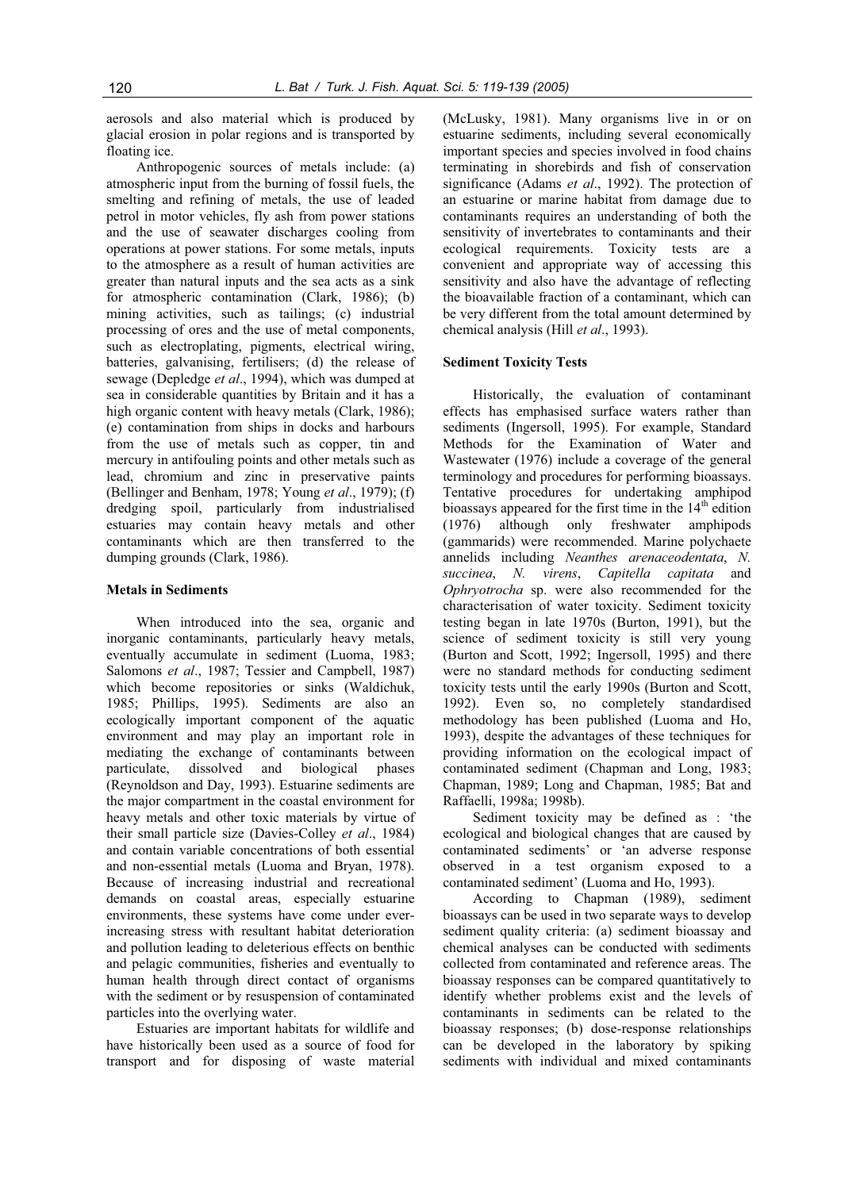aerosols and also material which is produced by glacial erosion in polar regions and is transported by floating ice.

Anthropogenic sources of metals include: (a) atmospheric input from the burning of fossil fuels, the smelting and refining of metals, the use of leaded petrol in motor vehicles, fly ash from power stations and the use of seawater discharges cooling from operations at power stations. For some metals, inputs to the atmosphere as a result of human activities are greater than natural inputs and the sea acts as a sink for atmospheric contamination (Clark, 1986); (b) mining activities, such as tailings; (c) industrial processing of ores and the use of metal components, such as electroplating, pigments, electrical wiring, batteries, galvanising, fertilisers; (d) the release of sewage (Depledge *et al*., 1994), which was dumped at sea in considerable quantities by Britain and it has a high organic content with heavy metals (Clark, 1986); (e) contamination from ships in docks and harbours from the use of metals such as copper, tin and mercury in antifouling points and other metals such as lead, chromium and zinc in preservative paints (Bellinger and Benham, 1978; Young *et al*., 1979); (f) dredging spoil, particularly from industrialised estuaries may contain heavy metals and other contaminants which are then transferred to the dumping grounds (Clark, 1986).

#### **Metals in Sediments**

When introduced into the sea, organic and inorganic contaminants, particularly heavy metals, eventually accumulate in sediment (Luoma, 1983; Salomons *et al*., 1987; Tessier and Campbell, 1987) which become repositories or sinks (Waldichuk, 1985; Phillips, 1995). Sediments are also an ecologically important component of the aquatic environment and may play an important role in mediating the exchange of contaminants between particulate, dissolved and biological phases (Reynoldson and Day, 1993). Estuarine sediments are the major compartment in the coastal environment for heavy metals and other toxic materials by virtue of their small particle size (Davies-Colley *et al*., 1984) and contain variable concentrations of both essential and non-essential metals (Luoma and Bryan, 1978). Because of increasing industrial and recreational demands on coastal areas, especially estuarine environments, these systems have come under everincreasing stress with resultant habitat deterioration and pollution leading to deleterious effects on benthic and pelagic communities, fisheries and eventually to human health through direct contact of organisms with the sediment or by resuspension of contaminated particles into the overlying water.

Estuaries are important habitats for wildlife and have historically been used as a source of food for transport and for disposing of waste material

(McLusky, 1981). Many organisms live in or on estuarine sediments, including several economically important species and species involved in food chains terminating in shorebirds and fish of conservation significance (Adams *et al*., 1992). The protection of an estuarine or marine habitat from damage due to contaminants requires an understanding of both the sensitivity of invertebrates to contaminants and their ecological requirements. Toxicity tests are a convenient and appropriate way of accessing this sensitivity and also have the advantage of reflecting the bioavailable fraction of a contaminant, which can be very different from the total amount determined by chemical analysis (Hill *et al*., 1993).

#### **Sediment Toxicity Tests**

Historically, the evaluation of contaminant effects has emphasised surface waters rather than sediments (Ingersoll, 1995). For example, Standard Methods for the Examination of Water and Wastewater (1976) include a coverage of the general terminology and procedures for performing bioassays. Tentative procedures for undertaking amphipod bioassays appeared for the first time in the 14<sup>th</sup> edition (1976) although only freshwater amphipods (gammarids) were recommended. Marine polychaete annelids including *Neanthes arenaceodentata*, *N. succinea*, *N. virens*, *Capitella capitata* and *Ophryotrocha* sp. were also recommended for the characterisation of water toxicity. Sediment toxicity testing began in late 1970s (Burton, 1991), but the science of sediment toxicity is still very young (Burton and Scott, 1992; Ingersoll, 1995) and there were no standard methods for conducting sediment toxicity tests until the early 1990s (Burton and Scott, 1992). Even so, no completely standardised methodology has been published (Luoma and Ho, 1993), despite the advantages of these techniques for providing information on the ecological impact of contaminated sediment (Chapman and Long, 1983; Chapman, 1989; Long and Chapman, 1985; Bat and Raffaelli, 1998a; 1998b).

Sediment toxicity may be defined as : 'the ecological and biological changes that are caused by contaminated sediments' or 'an adverse response observed in a test organism exposed to a contaminated sediment' (Luoma and Ho, 1993).

According to Chapman (1989), sediment bioassays can be used in two separate ways to develop sediment quality criteria: (a) sediment bioassay and chemical analyses can be conducted with sediments collected from contaminated and reference areas. The bioassay responses can be compared quantitatively to identify whether problems exist and the levels of contaminants in sediments can be related to the bioassay responses; (b) dose-response relationships can be developed in the laboratory by spiking sediments with individual and mixed contaminants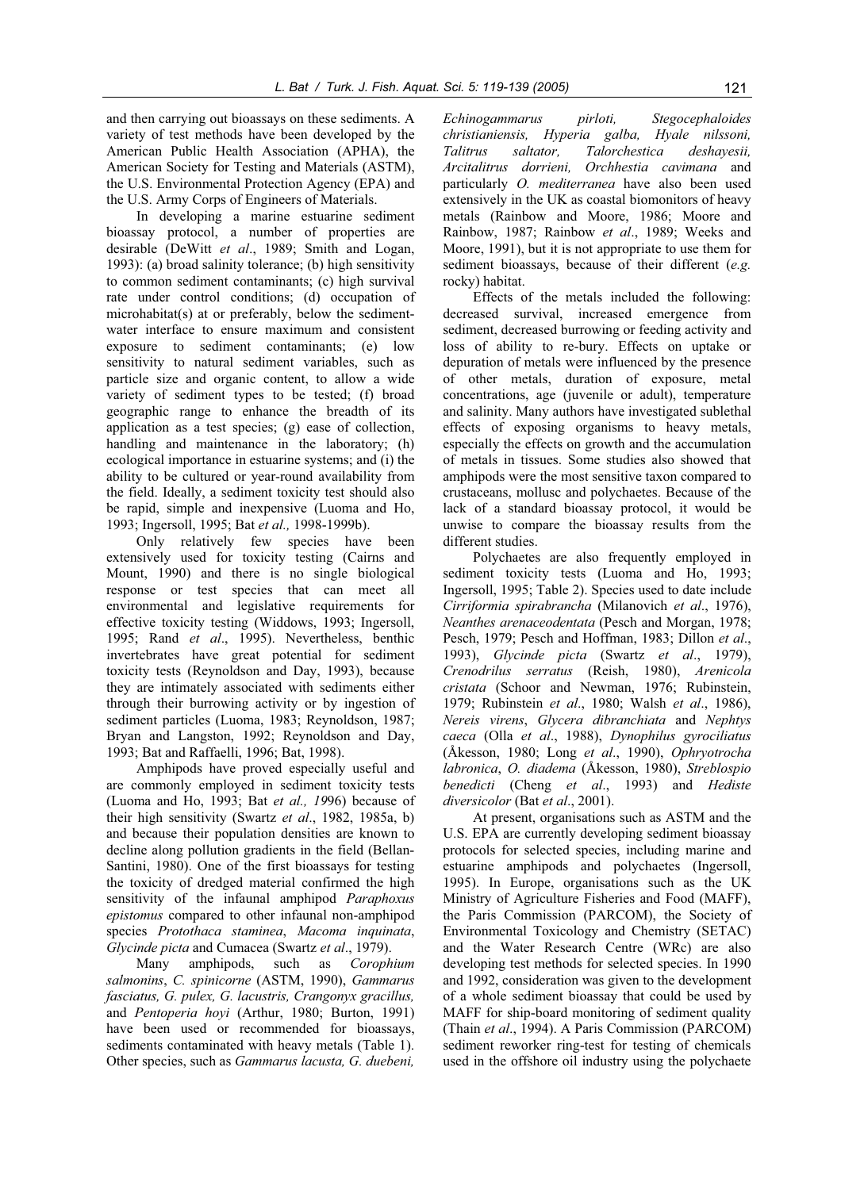and then carrying out bioassays on these sediments. A variety of test methods have been developed by the American Public Health Association (APHA), the American Society for Testing and Materials (ASTM), the U.S. Environmental Protection Agency (EPA) and the U.S. Army Corps of Engineers of Materials.

In developing a marine estuarine sediment bioassay protocol, a number of properties are desirable (DeWitt *et al*., 1989; Smith and Logan, 1993): (a) broad salinity tolerance; (b) high sensitivity to common sediment contaminants; (c) high survival rate under control conditions; (d) occupation of microhabitat(s) at or preferably, below the sedimentwater interface to ensure maximum and consistent exposure to sediment contaminants; (e) low sensitivity to natural sediment variables, such as particle size and organic content, to allow a wide variety of sediment types to be tested; (f) broad geographic range to enhance the breadth of its application as a test species; (g) ease of collection, handling and maintenance in the laboratory; (h) ecological importance in estuarine systems; and (i) the ability to be cultured or year-round availability from the field. Ideally, a sediment toxicity test should also be rapid, simple and inexpensive (Luoma and Ho, 1993; Ingersoll, 1995; Bat *et al.,* 1998-1999b).

Only relatively few species have been extensively used for toxicity testing (Cairns and Mount, 1990) and there is no single biological response or test species that can meet all environmental and legislative requirements for effective toxicity testing (Widdows, 1993; Ingersoll, 1995; Rand *et al*., 1995). Nevertheless, benthic invertebrates have great potential for sediment toxicity tests (Reynoldson and Day, 1993), because they are intimately associated with sediments either through their burrowing activity or by ingestion of sediment particles (Luoma, 1983; Reynoldson, 1987; Bryan and Langston, 1992; Reynoldson and Day, 1993; Bat and Raffaelli, 1996; Bat, 1998).

Amphipods have proved especially useful and are commonly employed in sediment toxicity tests (Luoma and Ho, 1993; Bat *et al., 19*96) because of their high sensitivity (Swartz *et al*., 1982, 1985a, b) and because their population densities are known to decline along pollution gradients in the field (Bellan-Santini, 1980). One of the first bioassays for testing the toxicity of dredged material confirmed the high sensitivity of the infaunal amphipod *Paraphoxus epistomus* compared to other infaunal non-amphipod species *Protothaca staminea*, *Macoma inquinata*, *Glycinde picta* and Cumacea (Swartz *et al*., 1979).

Many amphipods, such as *Corophium salmonins*, *C. spinicorne* (ASTM, 1990), *Gammarus fasciatus, G. pulex, G. lacustris, Crangonyx gracillus,*  and *Pentoperia hoyi* (Arthur, 1980; Burton, 1991) have been used or recommended for bioassays, sediments contaminated with heavy metals (Table 1). Other species, such as *Gammarus lacusta, G. duebeni,* 

*Echinogammarus pirloti, Stegocephaloides christianiensis, Hyperia galba, Hyale nilssoni, Talitrus saltator, Talorchestica deshayesii, Arcitalitrus dorrieni, Orchhestia cavimana* and particularly *O. mediterranea* have also been used extensively in the UK as coastal biomonitors of heavy metals (Rainbow and Moore, 1986; Moore and Rainbow, 1987; Rainbow *et al*., 1989; Weeks and Moore, 1991), but it is not appropriate to use them for sediment bioassays, because of their different (*e.g.* rocky) habitat.

Effects of the metals included the following: decreased survival, increased emergence from sediment, decreased burrowing or feeding activity and loss of ability to re-bury. Effects on uptake or depuration of metals were influenced by the presence of other metals, duration of exposure, metal concentrations, age (juvenile or adult), temperature and salinity. Many authors have investigated sublethal effects of exposing organisms to heavy metals, especially the effects on growth and the accumulation of metals in tissues. Some studies also showed that amphipods were the most sensitive taxon compared to crustaceans, mollusc and polychaetes. Because of the lack of a standard bioassay protocol, it would be unwise to compare the bioassay results from the different studies.

Polychaetes are also frequently employed in sediment toxicity tests (Luoma and Ho, 1993; Ingersoll, 1995; Table 2). Species used to date include *Cirriformia spirabrancha* (Milanovich *et al*., 1976), *Neanthes arenaceodentata* (Pesch and Morgan, 1978; Pesch, 1979; Pesch and Hoffman, 1983; Dillon *et al*., 1993), *Glycinde picta* (Swartz *et al*., 1979), *Crenodrilus serratus* (Reish, 1980), *Arenicola cristata* (Schoor and Newman, 1976; Rubinstein, 1979; Rubinstein *et al*., 1980; Walsh *et al*., 1986), *Nereis virens*, *Glycera dibranchiata* and *Nephtys caeca* (Olla *et al*., 1988), *Dynophilus gyrociliatus* (Åkesson, 1980; Long *et al*., 1990), *Ophryotrocha labronica*, *O. diadema* (Åkesson, 1980), *Streblospio benedicti* (Cheng *et al*., 1993) and *Hediste diversicolor* (Bat *et al*., 2001).

At present, organisations such as ASTM and the U.S. EPA are currently developing sediment bioassay protocols for selected species, including marine and estuarine amphipods and polychaetes (Ingersoll, 1995). In Europe, organisations such as the UK Ministry of Agriculture Fisheries and Food (MAFF), the Paris Commission (PARCOM), the Society of Environmental Toxicology and Chemistry (SETAC) and the Water Research Centre (WRc) are also developing test methods for selected species. In 1990 and 1992, consideration was given to the development of a whole sediment bioassay that could be used by MAFF for ship-board monitoring of sediment quality (Thain *et al*., 1994). A Paris Commission (PARCOM) sediment reworker ring-test for testing of chemicals used in the offshore oil industry using the polychaete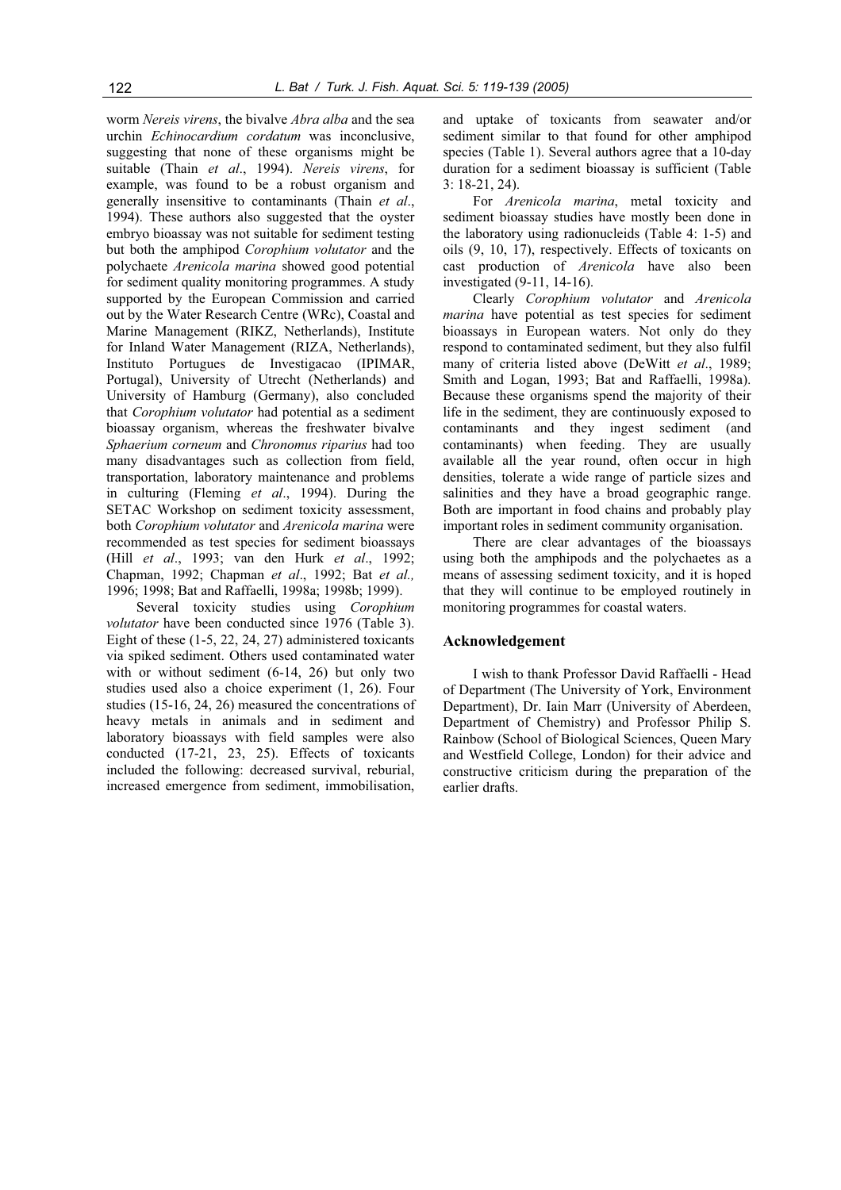worm *Nereis virens*, the bivalve *Abra alba* and the sea urchin *Echinocardium cordatum* was inconclusive, suggesting that none of these organisms might be suitable (Thain *et al*., 1994). *Nereis virens*, for example, was found to be a robust organism and generally insensitive to contaminants (Thain *et al*., 1994). These authors also suggested that the oyster embryo bioassay was not suitable for sediment testing but both the amphipod *Corophium volutator* and the polychaete *Arenicola marina* showed good potential for sediment quality monitoring programmes. A study supported by the European Commission and carried out by the Water Research Centre (WRc), Coastal and Marine Management (RIKZ, Netherlands), Institute for Inland Water Management (RIZA, Netherlands), Instituto Portugues de Investigacao (IPIMAR, Portugal), University of Utrecht (Netherlands) and University of Hamburg (Germany), also concluded that *Corophium volutator* had potential as a sediment bioassay organism, whereas the freshwater bivalve *Sphaerium corneum* and *Chronomus riparius* had too many disadvantages such as collection from field, transportation, laboratory maintenance and problems in culturing (Fleming *et al*., 1994). During the SETAC Workshop on sediment toxicity assessment, both *Corophium volutator* and *Arenicola marina* were recommended as test species for sediment bioassays (Hill *et al*., 1993; van den Hurk *et al*., 1992; Chapman, 1992; Chapman *et al*., 1992; Bat *et al.,*  1996; 1998; Bat and Raffaelli, 1998a; 1998b; 1999).

Several toxicity studies using *Corophium volutator* have been conducted since 1976 (Table 3). Eight of these (1-5, 22, 24, 27) administered toxicants via spiked sediment. Others used contaminated water with or without sediment (6-14, 26) but only two studies used also a choice experiment (1, 26). Four studies (15-16, 24, 26) measured the concentrations of heavy metals in animals and in sediment and laboratory bioassays with field samples were also conducted (17-21, 23, 25). Effects of toxicants included the following: decreased survival, reburial, increased emergence from sediment, immobilisation,

and uptake of toxicants from seawater and/or sediment similar to that found for other amphipod species (Table 1). Several authors agree that a 10-day duration for a sediment bioassay is sufficient (Table 3: 18-21, 24).

For *Arenicola marina*, metal toxicity and sediment bioassay studies have mostly been done in the laboratory using radionucleids (Table 4: 1-5) and oils (9, 10, 17), respectively. Effects of toxicants on cast production of *Arenicola* have also been investigated (9-11, 14-16).

Clearly *Corophium volutator* and *Arenicola marina* have potential as test species for sediment bioassays in European waters. Not only do they respond to contaminated sediment, but they also fulfil many of criteria listed above (DeWitt *et al*., 1989; Smith and Logan, 1993; Bat and Raffaelli, 1998a). Because these organisms spend the majority of their life in the sediment, they are continuously exposed to contaminants and they ingest sediment (and contaminants) when feeding. They are usually available all the year round, often occur in high densities, tolerate a wide range of particle sizes and salinities and they have a broad geographic range. Both are important in food chains and probably play important roles in sediment community organisation.

There are clear advantages of the bioassays using both the amphipods and the polychaetes as a means of assessing sediment toxicity, and it is hoped that they will continue to be employed routinely in monitoring programmes for coastal waters.

# **Acknowledgement**

I wish to thank Professor David Raffaelli - Head of Department (The University of York, Environment Department), Dr. Iain Marr (University of Aberdeen, Department of Chemistry) and Professor Philip S. Rainbow (School of Biological Sciences, Queen Mary and Westfield College, London) for their advice and constructive criticism during the preparation of the earlier drafts.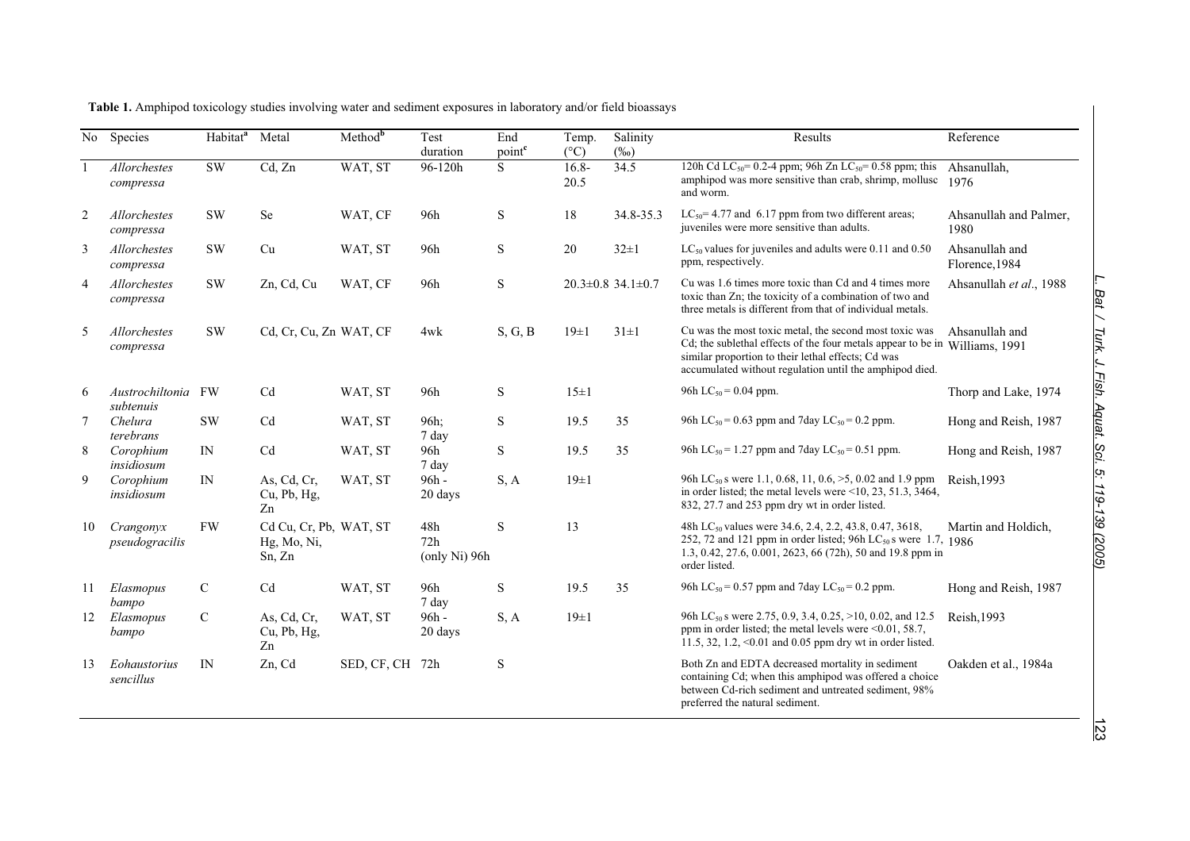| No             | Species                      | Habitat <sup>a</sup> | Metal                                           | $Method^b$      | Test<br>duration            | End<br>point <sup>c</sup> | Temp.<br>$(^{\circ}C)$ | Salinity<br>$(\%0)$           | Results                                                                                                                                                                                                                                                | Reference                        |
|----------------|------------------------------|----------------------|-------------------------------------------------|-----------------|-----------------------------|---------------------------|------------------------|-------------------------------|--------------------------------------------------------------------------------------------------------------------------------------------------------------------------------------------------------------------------------------------------------|----------------------------------|
|                | Allorchestes<br>compressa    | $\mathrm{SW}$        | Cd, Zn                                          | WAT, ST         | 96-120h                     | <sub>S</sub>              | $16.8 -$<br>20.5       | 34.5                          | 120h Cd LC <sub>50</sub> = 0.2-4 ppm; 96h Zn LC <sub>50</sub> = 0.58 ppm; this<br>amphipod was more sensitive than crab, shrimp, mollusc<br>and worm.                                                                                                  | Ahsanullah,<br>1976              |
| 2              | Allorchestes<br>compressa    | <b>SW</b>            | Se                                              | WAT, CF         | 96h                         | ${\bf S}$                 | 18                     | 34.8-35.3                     | $LC_{50}$ = 4.77 and 6.17 ppm from two different areas;<br>juveniles were more sensitive than adults.                                                                                                                                                  | Ahsanullah and Palmer,<br>1980   |
| 3              | Allorchestes<br>compressa    | <b>SW</b>            | Cu                                              | WAT, ST         | 96h                         | S                         | 20                     | $32 \pm 1$                    | $LC_{50}$ values for juveniles and adults were 0.11 and 0.50<br>ppm, respectively.                                                                                                                                                                     | Ahsanullah and<br>Florence, 1984 |
| $\overline{4}$ | Allorchestes<br>compressa    | <b>SW</b>            | Zn, Cd, Cu                                      | WAT, CF         | 96h                         | ${\bf S}$                 |                        | $20.3 \pm 0.8$ 34.1 $\pm 0.7$ | Cu was 1.6 times more toxic than Cd and 4 times more<br>toxic than Zn; the toxicity of a combination of two and<br>three metals is different from that of individual metals.                                                                           | Ahsanullah et al., 1988          |
| 5              | Allorchestes<br>compressa    | <b>SW</b>            | Cd, Cr, Cu, Zn WAT, CF                          |                 | 4wk                         | S, G, B                   | $19\pm1$               | $31\pm1$                      | Cu was the most toxic metal, the second most toxic was<br>Cd; the sublethal effects of the four metals appear to be in Williams, 1991<br>similar proportion to their lethal effects; Cd was<br>accumulated without regulation until the amphipod died. | Ahsanullah and                   |
| 6              | Austrochiltonia<br>subtenuis | FW                   | Cd                                              | WAT, ST         | 96h                         | S                         | $15\pm1$               |                               | 96h LC <sub>50</sub> = 0.04 ppm.                                                                                                                                                                                                                       | Thorp and Lake, 1974             |
| 7              | Chelura<br>terebrans         | <b>SW</b>            | C <sub>d</sub>                                  | WAT, ST         | 96h;<br>7 day               | S                         | 19.5                   | 35                            | 96h LC <sub>50</sub> = 0.63 ppm and 7day LC <sub>50</sub> = 0.2 ppm.                                                                                                                                                                                   | Hong and Reish, 1987             |
| 8              | Corophium<br>insidiosum      | IN                   | Cd                                              | WAT, ST         | 96h<br>7 day                | S                         | 19.5                   | 35                            | 96h LC <sub>50</sub> = 1.27 ppm and 7day LC <sub>50</sub> = 0.51 ppm.                                                                                                                                                                                  | Hong and Reish, 1987             |
| 9              | Corophium<br>insidiosum      | IN                   | As, Cd, Cr,<br>Cu, Pb, Hg,<br>Zn                | WAT, ST         | 96h -<br>20 days            | S, A                      | $19\pm1$               |                               | 96h LC <sub>50</sub> s were 1.1, 0.68, 11, 0.6, $>5$ , 0.02 and 1.9 ppm<br>in order listed; the metal levels were $\leq 10$ , 23, 51.3, 3464,<br>832, 27.7 and 253 ppm dry wt in order listed.                                                         | Reish, 1993                      |
| 10             | Crangonyx<br>pseudogracilis  | <b>FW</b>            | Cd Cu, Cr, Pb, WAT, ST<br>Hg, Mo, Ni,<br>Sn, Zn |                 | 48h<br>72h<br>(only Ni) 96h | S                         | 13                     |                               | 48h LC <sub>50</sub> values were 34.6, 2.4, 2.2, 43.8, 0.47, 3618,<br>252, 72 and 121 ppm in order listed; 96h $LC_{50}$ s were 1.7, 1986<br>1.3, 0.42, 27.6, 0.001, 2623, 66 (72h), 50 and 19.8 ppm in<br>order listed.                               | Martin and Holdich,              |
| 11             | Elasmopus<br>bampo           | $\mathcal{C}$        | Cd                                              | WAT, ST         | 96h<br>7 day                | S                         | 19.5                   | 35                            | 96h LC <sub>50</sub> = 0.57 ppm and 7day LC <sub>50</sub> = 0.2 ppm.                                                                                                                                                                                   | Hong and Reish, 1987             |
| 12             | Elasmopus<br>bampo           | $\mathcal{C}$        | As, Cd, Cr,<br>Cu, Pb, Hg,<br>Zn                | WAT, ST         | $96h -$<br>20 days          | S, A                      | $19\pm1$               |                               | 96h LC <sub>50</sub> s were 2.75, 0.9, 3.4, 0.25, >10, 0.02, and 12.5<br>ppm in order listed; the metal levels were <0.01, 58.7,<br>11.5, 32, 1.2, < $0.01$ and 0.05 ppm dry wt in order listed.                                                       | Reish, 1993                      |
| 13             | Eohaustorius<br>sencillus    | IN                   | Zn, Cd                                          | SED, CF, CH 72h |                             | S                         |                        |                               | Both Zn and EDTA decreased mortality in sediment<br>containing Cd; when this amphipod was offered a choice<br>between Cd-rich sediment and untreated sediment, 98%<br>preferred the natural sediment.                                                  | Oakden et al., 1984a             |

**Table 1.** Amphipod toxicology studies involving water and sediment exposures in laboratory and/or field bioassays

123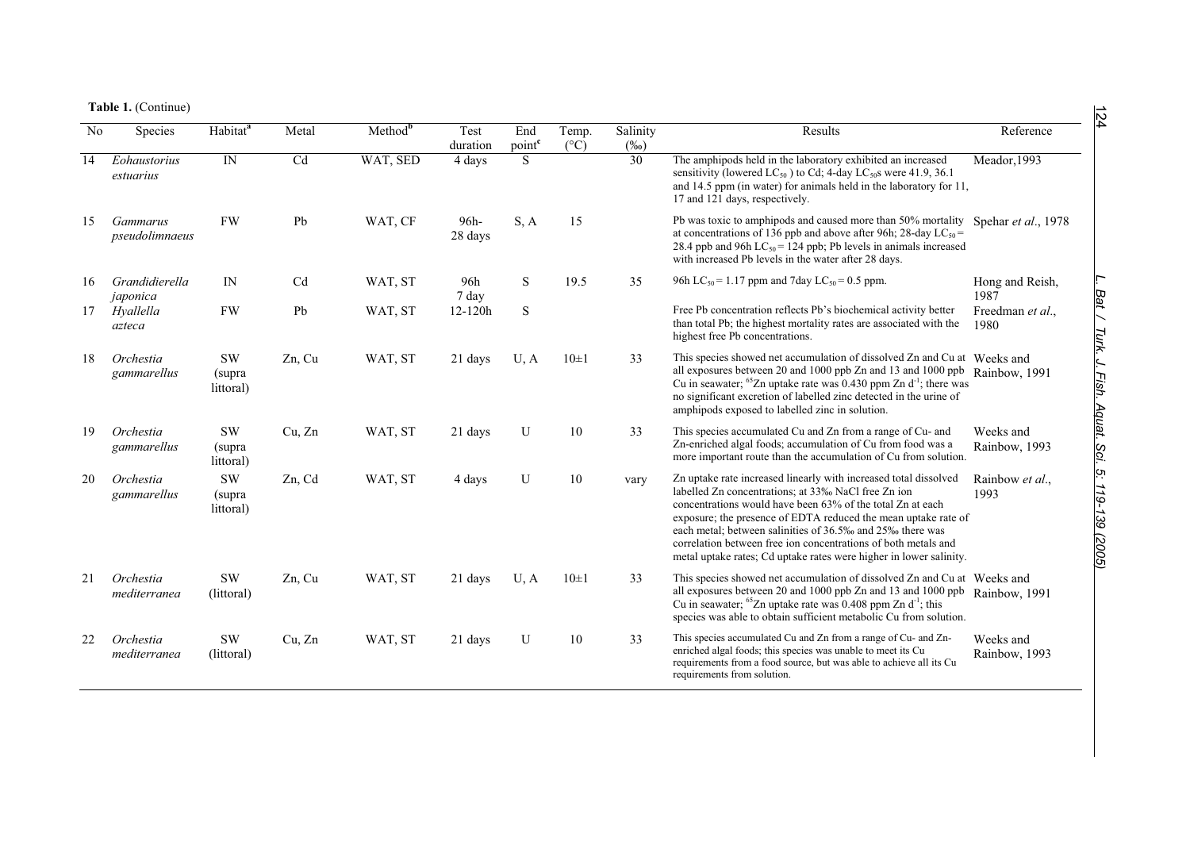**Table 1.** (Continue)

| No | Species                    | Habitat <sup>a</sup>             | Metal  | Method <sup>b</sup> | Test<br>duration | End<br>point <sup>c</sup> | Temp.<br>$(^{\circ}C)$ | Salinity<br>$(\%0)$ | Results                                                                                                                                                                                                                                                                                                                                                                                                                                                      | Reference                  |
|----|----------------------------|----------------------------------|--------|---------------------|------------------|---------------------------|------------------------|---------------------|--------------------------------------------------------------------------------------------------------------------------------------------------------------------------------------------------------------------------------------------------------------------------------------------------------------------------------------------------------------------------------------------------------------------------------------------------------------|----------------------------|
| 14 | Eohaustorius<br>estuarius  | $\ensuremath{\text{IN}}$         | Cd     | WAT, SED            | 4 days           | S.                        |                        | $\overline{30}$     | The amphipods held in the laboratory exhibited an increased<br>sensitivity (lowered $LC_{50}$ ) to Cd; 4-day $LC_{50}$ s were 41.9, 36.1<br>and 14.5 ppm (in water) for animals held in the laboratory for 11,<br>17 and 121 days, respectively.                                                                                                                                                                                                             | Meador, 1993               |
| 15 | Gammarus<br>pseudolimnaeus | <b>FW</b>                        | Pb     | WAT, CF             | 96h-<br>28 days  | S, A                      | 15                     |                     | Pb was toxic to amphipods and caused more than 50% mortality Spehar et al., 1978<br>at concentrations of 136 ppb and above after 96h; 28-day LC <sub>50</sub> =<br>28.4 ppb and 96h $LC_{50}$ = 124 ppb; Pb levels in animals increased<br>with increased Pb levels in the water after 28 days.                                                                                                                                                              |                            |
| 16 | Grandidierella<br>japonica | IN                               | Cd     | WAT, ST             | 96h<br>7 day     | <sub>S</sub>              | 19.5                   | 35                  | 96h LC <sub>50</sub> = 1.17 ppm and 7day LC <sub>50</sub> = 0.5 ppm.                                                                                                                                                                                                                                                                                                                                                                                         | Hong and Reish,<br>1987    |
| 17 | Hyallella<br>azteca        | <b>FW</b>                        | Pb     | WAT, ST             | 12-120h          | <sub>S</sub>              |                        |                     | Free Pb concentration reflects Pb's biochemical activity better<br>than total Pb; the highest mortality rates are associated with the<br>highest free Pb concentrations.                                                                                                                                                                                                                                                                                     | Freedman et al.,<br>1980   |
| 18 | Orchestia<br>gammarellus   | <b>SW</b><br>(supra<br>littoral) | Zn, Cu | WAT, ST             | 21 days          | U, A                      | $10\pm1$               | 33                  | This species showed net accumulation of dissolved Zn and Cu at Weeks and<br>all exposures between 20 and 1000 ppb Zn and 13 and 1000 ppb Rainbow, 1991<br>Cu in seawater; ${}^{65}Zn$ uptake rate was 0.430 ppm Zn d <sup>-1</sup> ; there was<br>no significant excretion of labelled zinc detected in the urine of<br>amphipods exposed to labelled zinc in solution.                                                                                      |                            |
| 19 | Orchestia<br>gammarellus   | <b>SW</b><br>(supra<br>littoral) | Cu, Zn | WAT, ST             | 21 days          | U                         | 10                     | 33                  | This species accumulated Cu and Zn from a range of Cu- and<br>Zn-enriched algal foods; accumulation of Cu from food was a<br>more important route than the accumulation of Cu from solution.                                                                                                                                                                                                                                                                 | Weeks and<br>Rainbow, 1993 |
| 20 | Orchestia<br>gammarellus   | <b>SW</b><br>(supra<br>littoral) | Zn, Cd | WAT, ST             | 4 days           | U                         | 10                     | vary                | Zn uptake rate increased linearly with increased total dissolved<br>labelled Zn concentrations; at 33% NaCl free Zn ion<br>concentrations would have been 63% of the total Zn at each<br>exposure; the presence of EDTA reduced the mean uptake rate of<br>each metal; between salinities of 36.5‰ and 25‰ there was<br>correlation between free ion concentrations of both metals and<br>metal uptake rates; Cd uptake rates were higher in lower salinity. | Rainbow et al.,<br>1993    |
| 21 | Orchestia<br>mediterranea  | <b>SW</b><br>(littoral)          | Zn, Cu | WAT, ST             | 21 days          | U, A                      | $10\pm1$               | 33                  | This species showed net accumulation of dissolved Zn and Cu at Weeks and<br>all exposures between 20 and 1000 ppb Zn and 13 and 1000 ppb Rainbow, 1991<br>Cu in seawater; ${}^{65}Zn$ uptake rate was 0.408 ppm Zn d <sup>-1</sup> ; this<br>species was able to obtain sufficient metabolic Cu from solution.                                                                                                                                               |                            |
| 22 | Orchestia<br>mediterranea  | <b>SW</b><br>(littoral)          | Cu, Zn | WAT, ST             | 21 days          | U                         | 10                     | 33                  | This species accumulated Cu and Zn from a range of Cu- and Zn-<br>enriched algal foods; this species was unable to meet its Cu<br>requirements from a food source, but was able to achieve all its Cu<br>requirements from solution.                                                                                                                                                                                                                         | Weeks and<br>Rainbow, 1993 |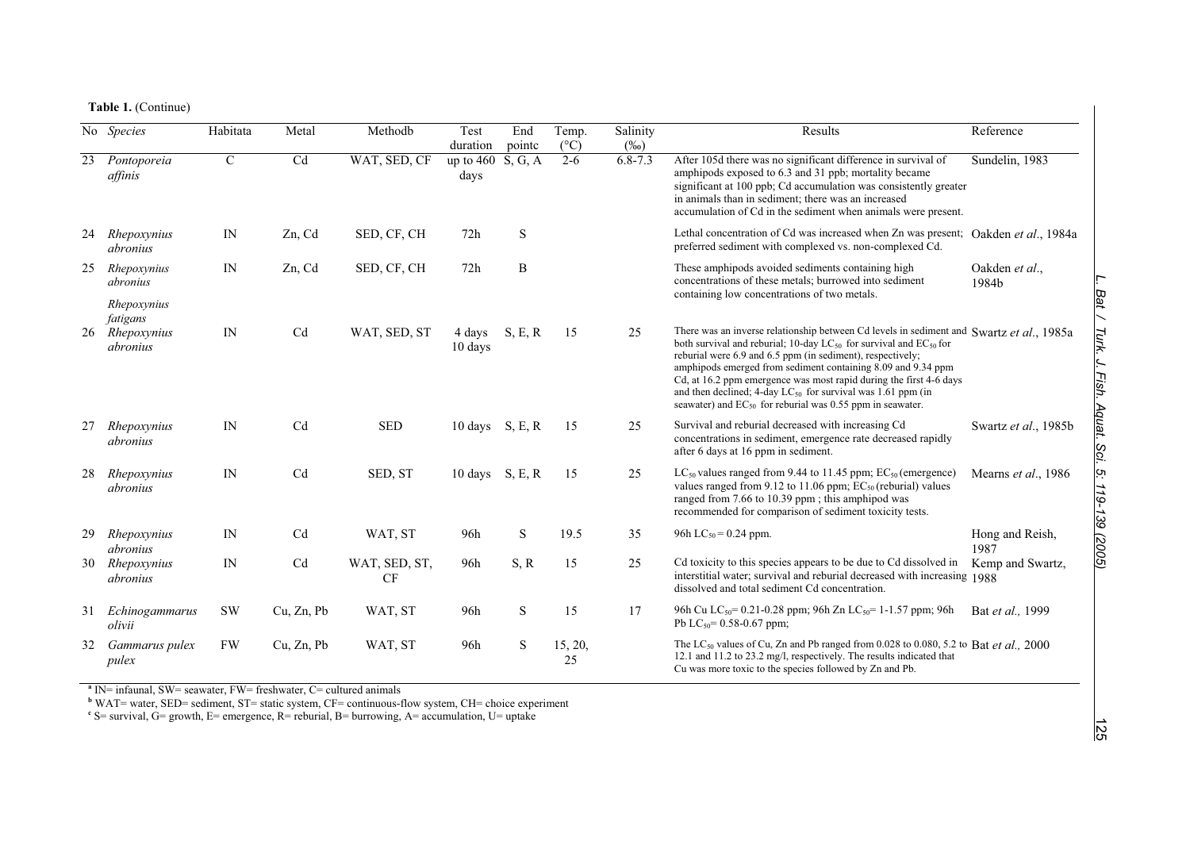**Table 1.** (Continue)

|    | No Species                                            | Habitata    | Metal      | Methodb             | Test<br>duration    | End<br>pointc | Temp.<br>$(^{\circ}C)$ | Salinity<br>$(\%0)$ | Results                                                                                                                                                                                                                                                                                                                                                                                                                                                                                                           | Reference               |
|----|-------------------------------------------------------|-------------|------------|---------------------|---------------------|---------------|------------------------|---------------------|-------------------------------------------------------------------------------------------------------------------------------------------------------------------------------------------------------------------------------------------------------------------------------------------------------------------------------------------------------------------------------------------------------------------------------------------------------------------------------------------------------------------|-------------------------|
| 23 | Pontoporeia<br>affinis                                | $\mathbf C$ | Cd         | WAT, SED, CF        | up to $460$<br>days | S, G, A       | $2 - 6$                | $6.8 - 7.3$         | After 105d there was no significant difference in survival of<br>amphipods exposed to 6.3 and 31 ppb; mortality became<br>significant at 100 ppb; Cd accumulation was consistently greater<br>in animals than in sediment; there was an increased<br>accumulation of Cd in the sediment when animals were present.                                                                                                                                                                                                | Sundelin, 1983          |
| 24 | Rhepoxynius<br>abronius                               | $_{\rm IN}$ | Zn, Cd     | SED, CF, CH         | 72h                 | S             |                        |                     | Lethal concentration of Cd was increased when Zn was present; Oakden et al., 1984a<br>preferred sediment with complexed vs. non-complexed Cd.                                                                                                                                                                                                                                                                                                                                                                     |                         |
| 25 | Rhepoxynius<br>abronius                               | IN          | Zn, Cd     | SED, CF, CH         | 72h                 | B             |                        |                     | These amphipods avoided sediments containing high<br>concentrations of these metals; burrowed into sediment<br>containing low concentrations of two metals.                                                                                                                                                                                                                                                                                                                                                       | Oakden et al.,<br>1984b |
|    | Rhepoxynius<br>fatigans<br>26 Rhepoxynius<br>abronius | IN          | Cd         | WAT, SED, ST        | 4 days<br>10 days   | S, E, R       | 15                     | 25                  | There was an inverse relationship between Cd levels in sediment and Swartz et al., 1985a<br>both survival and reburial; 10-day $LC_{50}$ for survival and $EC_{50}$ for<br>reburial were 6.9 and 6.5 ppm (in sediment), respectively;<br>amphipods emerged from sediment containing 8.09 and 9.34 ppm<br>Cd, at 16.2 ppm emergence was most rapid during the first 4-6 days<br>and then declined; 4-day $LC_{50}$ for survival was 1.61 ppm (in<br>seawater) and $EC_{50}$ for reburial was 0.55 ppm in seawater. |                         |
| 27 | Rhepoxynius<br>abronius                               | IN          | Cd         | <b>SED</b>          | 10 days $S, E, R$   |               | 15                     | 25                  | Survival and reburial decreased with increasing Cd<br>concentrations in sediment, emergence rate decreased rapidly<br>after 6 days at 16 ppm in sediment.                                                                                                                                                                                                                                                                                                                                                         | Swartz et al., 1985b    |
| 28 | Rhepoxynius<br><i>abronius</i>                        | IN          | Cd         | SED, ST             | 10 days S, E, R     |               | 15                     | 25                  | $LC_{50}$ values ranged from 9.44 to 11.45 ppm; $EC_{50}$ (emergence)<br>values ranged from 9.12 to 11.06 ppm; $EC_{50}$ (reburial) values<br>ranged from 7.66 to 10.39 ppm; this amphipod was<br>recommended for comparison of sediment toxicity tests.                                                                                                                                                                                                                                                          | Mearns et al., 1986     |
| 29 | Rhepoxynius<br>abronius                               | IN          | Cd         | WAT, ST             | 96h                 | S             | 19.5                   | 35                  | 96h LC <sub>50</sub> = 0.24 ppm.                                                                                                                                                                                                                                                                                                                                                                                                                                                                                  | Hong and Reish,<br>1987 |
|    | 30 Rhepoxynius<br>abronius                            | IN          | Cd         | WAT, SED, ST,<br>CF | 96h                 | S, R          | 15                     | 25                  | Cd toxicity to this species appears to be due to Cd dissolved in<br>interstitial water; survival and reburial decreased with increasing 1988<br>dissolved and total sediment Cd concentration.                                                                                                                                                                                                                                                                                                                    | Kemp and Swartz,        |
| 31 | Echinogammarus<br>olivii                              | <b>SW</b>   | Cu, Zn, Pb | WAT, ST             | 96h                 | ${\bf S}$     | 15                     | 17                  | 96h Cu LC <sub>50</sub> = 0.21-0.28 ppm; 96h Zn LC <sub>50</sub> = 1-1.57 ppm; 96h<br>Pb LC <sub>50</sub> = 0.58-0.67 ppm;                                                                                                                                                                                                                                                                                                                                                                                        | Bat et al., 1999        |
| 32 | Gammarus pulex<br>pulex                               | <b>FW</b>   | Cu, Zn, Pb | WAT, ST             | 96h                 | ${\bf S}$     | 15, 20,<br>25          |                     | The LC <sub>50</sub> values of Cu, Zn and Pb ranged from 0.028 to 0.080, 5.2 to Bat et al., 2000<br>12.1 and 11.2 to 23.2 mg/l, respectively. The results indicated that<br>Cu was more toxic to the species followed by Zn and Pb.                                                                                                                                                                                                                                                                               |                         |

<sup>a</sup> IN= infaunal, SW= seawater, FW= freshwater, C= cultured animals<br><sup>b</sup> WAT= water, SED= sediment, ST= static system, CF= continuous-flow system, CH= choice experiment<br><sup>e</sup> S= survival, G= growth, E= emergence, R= reburial,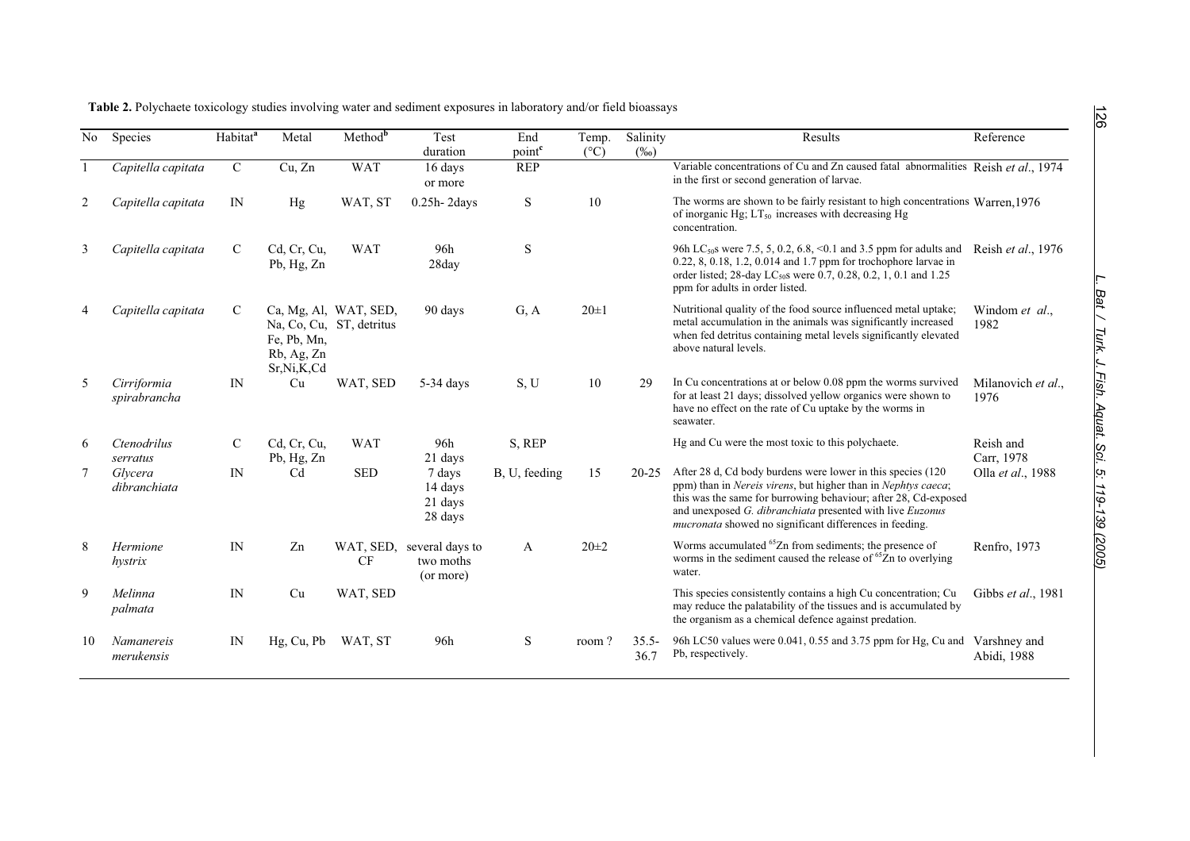| No | Species                     | Habitat <sup>a</sup> | Metal                                   | $Method^b$                                        | Test                                      | End                              | Temp.         | Salinity         | Results                                                                                                                                                                                                                                                                                                                         | Reference                  |
|----|-----------------------------|----------------------|-----------------------------------------|---------------------------------------------------|-------------------------------------------|----------------------------------|---------------|------------------|---------------------------------------------------------------------------------------------------------------------------------------------------------------------------------------------------------------------------------------------------------------------------------------------------------------------------------|----------------------------|
|    | Capitella capitata          | $\mathsf{C}$         | Cu, Zn                                  | <b>WAT</b>                                        | duration<br>16 days<br>or more            | point <sup>c</sup><br><b>REP</b> | $(^{\circ}C)$ | $(\%0)$          | Variable concentrations of Cu and Zn caused fatal abnormalities Reish et al., 1974<br>in the first or second generation of larvae.                                                                                                                                                                                              |                            |
| 2  | Capitella capitata          | IN                   | Hg                                      | WAT, ST                                           | $0.25h-2days$                             | ${\bf S}$                        | 10            |                  | The worms are shown to be fairly resistant to high concentrations Warren, 1976<br>of inorganic Hg; $LT_{50}$ increases with decreasing Hg<br>concentration.                                                                                                                                                                     |                            |
| 3  | Capitella capitata          | $\mathcal{C}$        | Cd, Cr, Cu,<br>Pb, Hg, Zn               | <b>WAT</b>                                        | 96h<br>28day                              | S                                |               |                  | 96h LC <sub>50</sub> s were 7.5, 5, 0.2, 6.8, < 0.1 and 3.5 ppm for adults and<br>0.22, 8, 0.18, 1.2, 0.014 and 1.7 ppm for trochophore larvae in<br>order listed; 28-day LC <sub>50</sub> s were 0.7, 0.28, 0.2, 1, 0.1 and 1.25<br>ppm for adults in order listed.                                                            | Reish et al., 1976         |
| 4  | Capitella capitata          | $\mathbf C$          | Fe, Pb, Mn,<br>Rb, Ag, Zn<br>Sr,Ni,K,Cd | Ca, Mg, Al, WAT, SED,<br>Na, Co, Cu, ST, detritus | 90 days                                   | G, A                             | $20 \pm 1$    |                  | Nutritional quality of the food source influenced metal uptake;<br>metal accumulation in the animals was significantly increased<br>when fed detritus containing metal levels significantly elevated<br>above natural levels.                                                                                                   | Windom et al.,<br>1982     |
| 5  | Cirriformia<br>spirabrancha | IN                   | Cu                                      | WAT, SED                                          | 5-34 days                                 | S, U                             | 10            | 29               | In Cu concentrations at or below 0.08 ppm the worms survived<br>for at least 21 days; dissolved yellow organics were shown to<br>have no effect on the rate of Cu uptake by the worms in<br>seawater.                                                                                                                           | Milanovich et al.,<br>1976 |
| 6  | Ctenodrilus<br>serratus     | C                    | Cd, Cr, Cu,<br>Pb, Hg, Zn               | <b>WAT</b>                                        | 96h<br>21 days                            | S, REP                           |               |                  | Hg and Cu were the most toxic to this polychaete.                                                                                                                                                                                                                                                                               | Reish and<br>Carr, 1978    |
| 7  | Glycera<br>dibranchiata     | IN                   | C <sub>d</sub>                          | <b>SED</b>                                        | 7 days<br>14 days<br>21 days<br>28 days   | B, U, feeding                    | 15            | $20 - 25$        | After 28 d, Cd body burdens were lower in this species (120)<br>ppm) than in Nereis virens, but higher than in Nephtys caeca;<br>this was the same for burrowing behaviour; after 28, Cd-exposed<br>and unexposed G. dibranchiata presented with live Euzonus<br><i>mucronata</i> showed no significant differences in feeding. | Olla et al., 1988          |
| 8  | Hermione<br>hystrix         | IN                   | Zn                                      | WAT, SED,<br><b>CF</b>                            | several days to<br>two moths<br>(or more) | A                                | $20 \pm 2$    |                  | Worms accumulated <sup>65</sup> Zn from sediments; the presence of<br>worms in the sediment caused the release of <sup>65</sup> Zn to overlying<br>water.                                                                                                                                                                       | Renfro, 1973               |
| 9  | Melinna<br>palmata          | IN                   | Cu                                      | WAT, SED                                          |                                           |                                  |               |                  | This species consistently contains a high Cu concentration; Cu<br>may reduce the palatability of the tissues and is accumulated by<br>the organism as a chemical defence against predation.                                                                                                                                     | Gibbs et al., 1981         |
| 10 | Namanereis<br>merukensis    | IN                   | Hg, Cu, Pb                              | WAT, ST                                           | 96h                                       | S                                | room?         | $35.5 -$<br>36.7 | 96h LC50 values were 0.041, 0.55 and 3.75 ppm for Hg, Cu and Varshney and<br>Pb, respectively.                                                                                                                                                                                                                                  | Abidi, 1988                |

**Table 2.** Polychaete toxicology studies involving water and sediment exposures in laboratory and/or field bioassays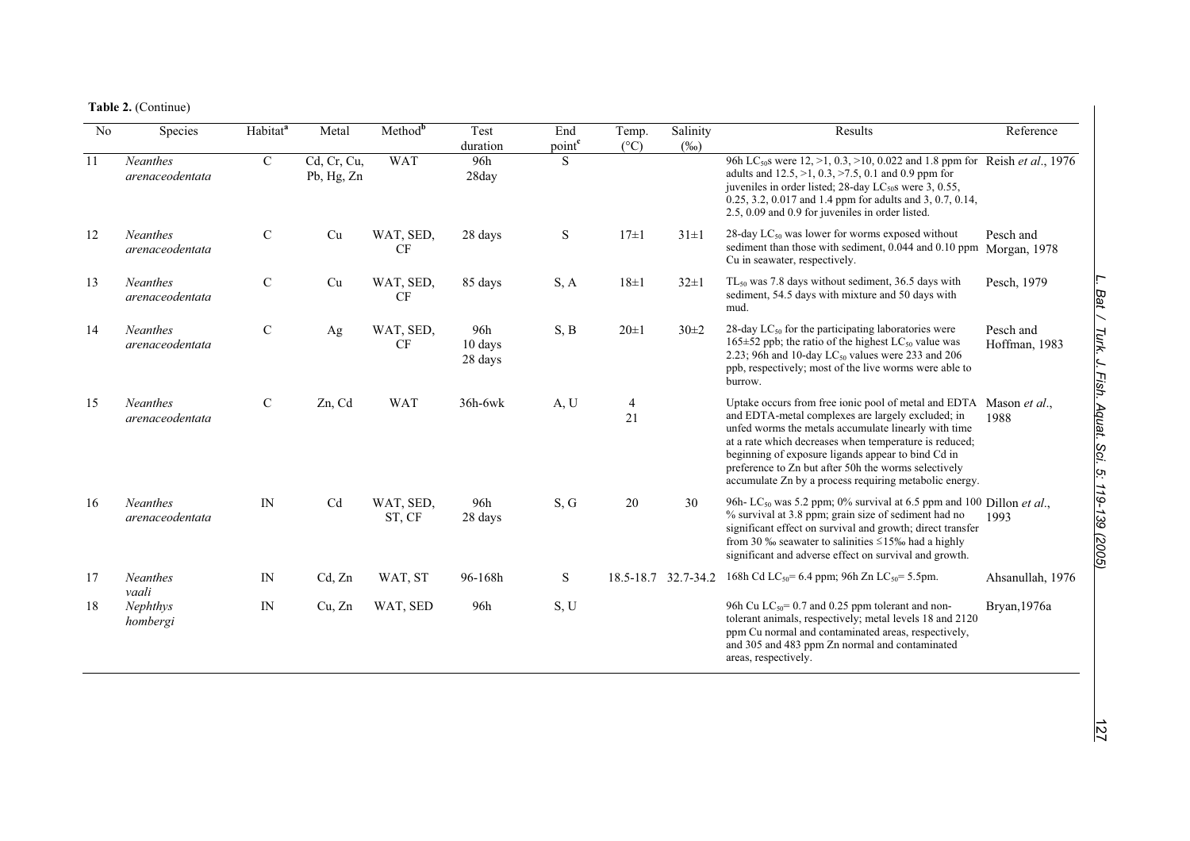**Table 2.** (Continue)

| No | Species                            | Habitat <sup>a</sup> | Metal                     | Method <sup>b</sup>    | Test<br>duration          | End<br>point <sup>c</sup> | Temp.<br>$(^{\circ}C)$ | Salinity<br>$(\%0)$ | Results                                                                                                                                                                                                                                                                                                                                                                                                           | Reference                  |
|----|------------------------------------|----------------------|---------------------------|------------------------|---------------------------|---------------------------|------------------------|---------------------|-------------------------------------------------------------------------------------------------------------------------------------------------------------------------------------------------------------------------------------------------------------------------------------------------------------------------------------------------------------------------------------------------------------------|----------------------------|
| 11 | <b>Neanthes</b><br>arenaceodentata | $\mathcal{C}$        | Cd, Cr, Cu,<br>Pb, Hg, Zn | <b>WAT</b>             | 96h<br>28day              | S                         |                        |                     | 96h LC <sub>50</sub> s were 12, >1, 0.3, >10, 0.022 and 1.8 ppm for Reish et al., 1976<br>adults and $12.5$ , $>1$ , $0.3$ , $>7.5$ , $0.1$ and $0.9$ ppm for<br>juveniles in order listed; 28-day $LC_{50}$ s were 3, 0.55,<br>0.25, 3.2, 0.017 and 1.4 ppm for adults and 3, 0.7, 0.14,<br>2.5, 0.09 and 0.9 for juveniles in order listed.                                                                     |                            |
| 12 | <b>Neanthes</b><br>arenaceodentata | $\mathcal{C}$        | Cu                        | WAT, SED,<br><b>CF</b> | 28 days                   | ${\bf S}$                 | $17\pm1$               | $31\pm1$            | 28-day $LC_{50}$ was lower for worms exposed without<br>sediment than those with sediment, 0.044 and 0.10 ppm Morgan, 1978<br>Cu in seawater, respectively.                                                                                                                                                                                                                                                       | Pesch and                  |
| 13 | <b>Neanthes</b><br>arenaceodentata | $\mathcal{C}$        | Cu                        | WAT, SED,<br>CF        | 85 days                   | S, A                      | $18\pm1$               | $32\pm1$            | TL <sub>50</sub> was 7.8 days without sediment, 36.5 days with<br>sediment, 54.5 days with mixture and 50 days with<br>mud.                                                                                                                                                                                                                                                                                       | Pesch, 1979                |
| 14 | <b>Neanthes</b><br>arenaceodentata | $\mathcal{C}$        | Ag                        | WAT, SED,<br><b>CF</b> | 96h<br>10 days<br>28 days | S, B                      | $20 \pm 1$             | $30\pm2$            | 28-day $LC_{50}$ for the participating laboratories were<br>$165\pm52$ ppb; the ratio of the highest LC <sub>50</sub> value was<br>2.23; 96h and 10-day $LC_{50}$ values were 233 and 206<br>ppb, respectively; most of the live worms were able to<br>burrow.                                                                                                                                                    | Pesch and<br>Hoffman, 1983 |
| 15 | <b>Neanthes</b><br>arenaceodentata | $\mathcal{C}$        | Zn, Cd                    | <b>WAT</b>             | 36h-6wk                   | A, U                      | $\overline{4}$<br>21   |                     | Uptake occurs from free ionic pool of metal and EDTA Mason et al.,<br>and EDTA-metal complexes are largely excluded; in<br>unfed worms the metals accumulate linearly with time<br>at a rate which decreases when temperature is reduced;<br>beginning of exposure ligands appear to bind Cd in<br>preference to Zn but after 50h the worms selectively<br>accumulate Zn by a process requiring metabolic energy. | 1988                       |
| 16 | <b>Neanthes</b><br>arenaceodentata | IN                   | Cd                        | WAT, SED,<br>ST, CF    | 96h<br>28 days            | S, G                      | 20                     | 30                  | 96h-LC <sub>50</sub> was 5.2 ppm; 0% survival at 6.5 ppm and 100 Dillon et al.,<br>% survival at 3.8 ppm; grain size of sediment had no<br>significant effect on survival and growth; direct transfer<br>from 30 ‰ seawater to salinities $\leq$ 15‰ had a highly<br>significant and adverse effect on survival and growth.                                                                                       | 1993                       |
| 17 | <b>Neanthes</b><br>vaali           | IN                   | Cd, Zn                    | WAT, ST                | 96-168h                   | ${\bf S}$                 | $18.5 - 18.7$          | 32.7-34.2           | 168h Cd LC <sub>50</sub> = 6.4 ppm; 96h Zn LC <sub>50</sub> = 5.5pm.                                                                                                                                                                                                                                                                                                                                              | Ahsanullah, 1976           |
| 18 | Nephthys<br>hombergi               | IN                   | Cu, Zn                    | WAT, SED               | 96h                       | S, U                      |                        |                     | 96h Cu $LC_{50}$ = 0.7 and 0.25 ppm tolerant and non-<br>tolerant animals, respectively; metal levels 18 and 2120<br>ppm Cu normal and contaminated areas, respectively,<br>and 305 and 483 ppm Zn normal and contaminated<br>areas, respectively.                                                                                                                                                                | Bryan, 1976a               |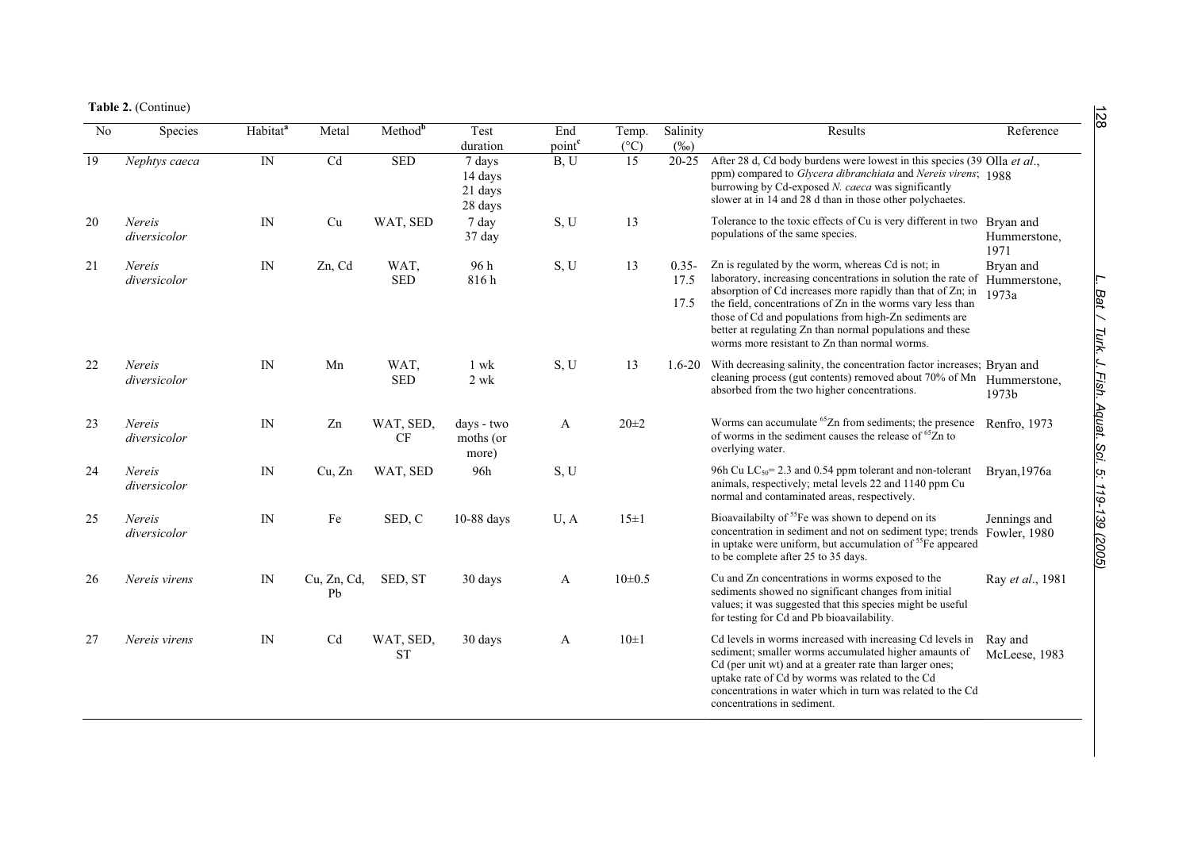**Table 2.** (Continue)

| $\overline{No}$ | Species                | Habitat <sup>a</sup>     | Metal             | Method <sup>b</sup>    | Test<br>duration                        | End<br>point <sup>c</sup> | Temp.<br>$(^{\circ}C)$ | Salinity<br>$(\%0)$      | Results                                                                                                                                                                                                                                                                                                                                                                                                                   | Reference                          |
|-----------------|------------------------|--------------------------|-------------------|------------------------|-----------------------------------------|---------------------------|------------------------|--------------------------|---------------------------------------------------------------------------------------------------------------------------------------------------------------------------------------------------------------------------------------------------------------------------------------------------------------------------------------------------------------------------------------------------------------------------|------------------------------------|
| 19              | Nephtys caeca          | $\ensuremath{\text{IN}}$ | Cd                | <b>SED</b>             | 7 days<br>14 days<br>21 days<br>28 days | B, U                      | 15                     | $20 - 25$                | After 28 d, Cd body burdens were lowest in this species (39 Olla et al.,<br>ppm) compared to Glycera dibranchiata and Nereis virens; 1988<br>burrowing by Cd-exposed N. caeca was significantly<br>slower at in 14 and 28 d than in those other polychaetes.                                                                                                                                                              |                                    |
| 20              | Nereis<br>diversicolor | IN                       | Cu                | WAT, SED               | 7 day<br>37 day                         | S, U                      | 13                     |                          | Tolerance to the toxic effects of Cu is very different in two Bryan and<br>populations of the same species.                                                                                                                                                                                                                                                                                                               | Hummerstone,<br>1971               |
| 21              | Nereis<br>diversicolor | IN                       | Zn, Cd            | WAT.<br><b>SED</b>     | 96 h<br>816h                            | S, U                      | 13                     | $0.35 -$<br>17.5<br>17.5 | Zn is regulated by the worm, whereas Cd is not; in<br>laboratory, increasing concentrations in solution the rate of<br>absorption of Cd increases more rapidly than that of Zn; in<br>the field, concentrations of Zn in the worms vary less than<br>those of Cd and populations from high-Zn sediments are<br>better at regulating Zn than normal populations and these<br>worms more resistant to Zn than normal worms. | Bryan and<br>Hummerstone,<br>1973a |
| 22              | Nereis<br>diversicolor | IN                       | Mn                | WAT,<br><b>SED</b>     | 1 wk<br>$2 \text{ wk}$                  | S, U                      | 13                     |                          | 1.6-20 With decreasing salinity, the concentration factor increases; Bryan and<br>cleaning process (gut contents) removed about 70% of Mn Hummerstone,<br>absorbed from the two higher concentrations.                                                                                                                                                                                                                    | 1973b                              |
| 23              | Nereis<br>diversicolor | $\ensuremath{\text{IN}}$ | Zn                | WAT, SED,<br>CF        | days - two<br>moths (or<br>more)        | A                         | $20 + 2$               |                          | Worms can accumulate <sup>65</sup> Zn from sediments; the presence<br>of worms in the sediment causes the release of <sup>65</sup> Zn to<br>overlying water.                                                                                                                                                                                                                                                              | Renfro, 1973                       |
| 24              | Nereis<br>diversicolor | IN                       | Cu, Zn            | WAT, SED               | 96h                                     | S, U                      |                        |                          | 96h Cu $LC_{50}$ = 2.3 and 0.54 ppm tolerant and non-tolerant<br>animals, respectively; metal levels 22 and 1140 ppm Cu<br>normal and contaminated areas, respectively.                                                                                                                                                                                                                                                   | Bryan, 1976a                       |
| 25              | Nereis<br>diversicolor | IN                       | Fe                | SED, C                 | 10-88 days                              | U, A                      | $15\pm1$               |                          | Bioavailabilty of <sup>55</sup> Fe was shown to depend on its<br>concentration in sediment and not on sediment type; trends<br>in uptake were uniform, but accumulation of <sup>55</sup> Fe appeared<br>to be complete after 25 to 35 days.                                                                                                                                                                               | Jennings and<br>Fowler, 1980       |
| 26              | Nereis virens          | IN                       | Cu, Zn, Cd,<br>Pb | SED, ST                | 30 days                                 | A                         | $10\pm 0.5$            |                          | Cu and Zn concentrations in worms exposed to the<br>sediments showed no significant changes from initial<br>values; it was suggested that this species might be useful<br>for testing for Cd and Pb bioavailability.                                                                                                                                                                                                      | Ray et al., 1981                   |
| 27              | Nereis virens          | IN                       | Cd                | WAT, SED,<br><b>ST</b> | 30 days                                 | A                         | $10\pm1$               |                          | Cd levels in worms increased with increasing Cd levels in<br>sediment; smaller worms accumulated higher amaunts of<br>Cd (per unit wt) and at a greater rate than larger ones;<br>uptake rate of Cd by worms was related to the Cd<br>concentrations in water which in turn was related to the Cd<br>concentrations in sediment.                                                                                          | Ray and<br>McLeese, 1983           |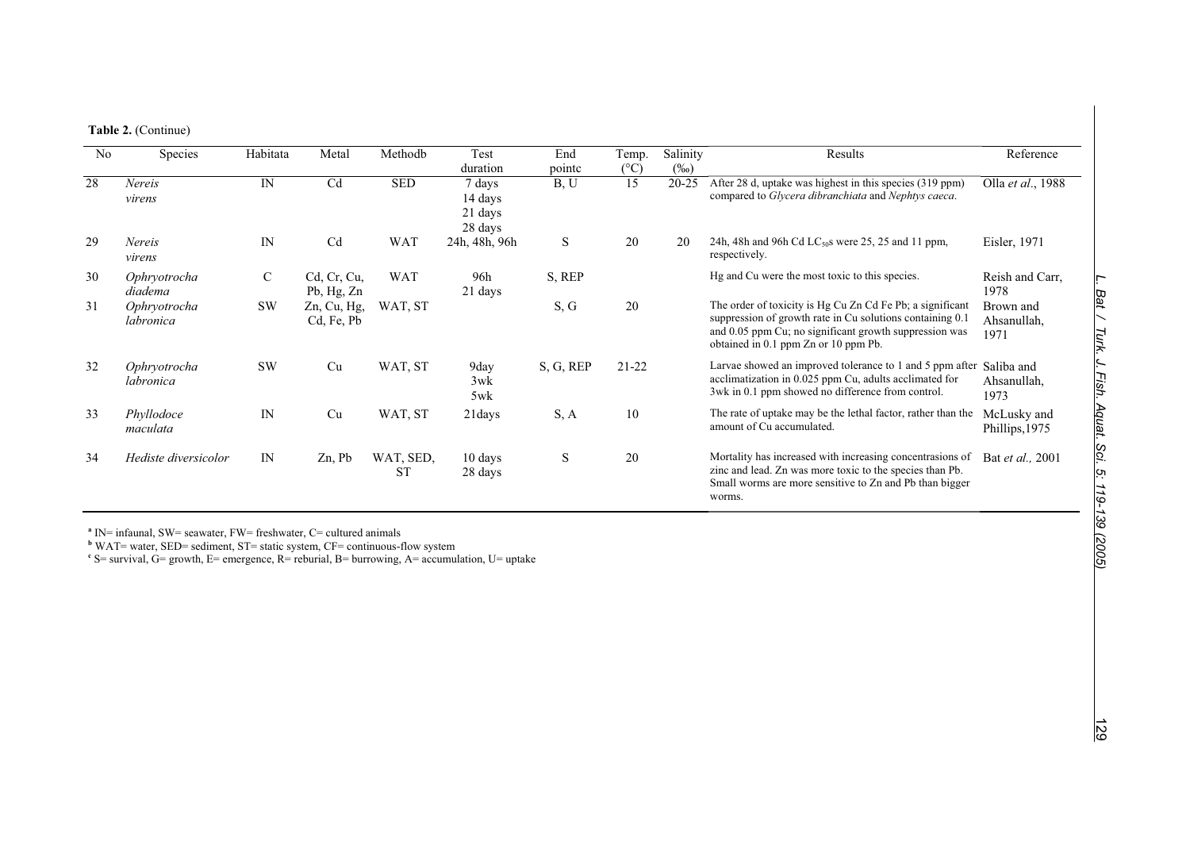| N <sub>0</sub> | Species                   | Habitata  | Metal                        | Methodb                | Test<br>duration                        | End<br>pointc | Temp.<br>$(^{\circ}C)$ | Salinity<br>(%o) | Results                                                                                                                                                                                                                  | Reference                        |
|----------------|---------------------------|-----------|------------------------------|------------------------|-----------------------------------------|---------------|------------------------|------------------|--------------------------------------------------------------------------------------------------------------------------------------------------------------------------------------------------------------------------|----------------------------------|
| 28             | Nereis<br>virens          | IN        | C <sub>d</sub>               | <b>SED</b>             | 7 days<br>14 days<br>21 days<br>28 days | B, U          | 15                     | $20 - 25$        | After 28 d, uptake was highest in this species (319 ppm)<br>compared to Glycera dibranchiata and Nephtys caeca.                                                                                                          | Olla et al., 1988                |
| 29             | Nereis<br>virens          | IN        | C <sub>d</sub>               | <b>WAT</b>             | 24h, 48h, 96h                           | S             | 20                     | 20               | 24h, 48h and 96h Cd $LC_{50}$ s were 25, 25 and 11 ppm,<br>respectively.                                                                                                                                                 | Eisler, 1971                     |
| 30             | Ophryotrocha<br>diadema   | C         | Cd, Cr, Cu,<br>Pb, Hg, Zn    | <b>WAT</b>             | 96h<br>21 days                          | S, REP        |                        |                  | Hg and Cu were the most toxic to this species.                                                                                                                                                                           | Reish and Carr,<br>1978          |
| 31             | Ophryotrocha<br>labronica | <b>SW</b> | $Zn$ , Cu, Hg,<br>Cd, Fe, Pb | WAT, ST                |                                         | S, G          | 20                     |                  | The order of toxicity is Hg Cu Zn Cd Fe Pb; a significant<br>suppression of growth rate in Cu solutions containing 0.1<br>and 0.05 ppm Cu; no significant growth suppression was<br>obtained in 0.1 ppm Zn or 10 ppm Pb. | Brown and<br>Ahsanullah,<br>1971 |
| 32             | Ophryotrocha<br>labronica | <b>SW</b> | Cu                           | WAT, ST                | 9day<br>3wk<br>5wk                      | S, G, REP     | $21 - 22$              |                  | Larvae showed an improved tolerance to 1 and 5 ppm after Saliba and<br>acclimatization in 0.025 ppm Cu, adults acclimated for<br>3wk in 0.1 ppm showed no difference from control.                                       | Ahsanullah,<br>1973              |
| 33             | Phyllodoce<br>maculata    | IN        | Cu                           | WAT, ST                | 21 days                                 | S, A          | 10                     |                  | The rate of uptake may be the lethal factor, rather than the<br>amount of Cu accumulated.                                                                                                                                | McLusky and<br>Phillips, 1975    |
| 34             | Hediste diversicolor      | IN        | $Zn$ , Pb                    | WAT, SED,<br><b>ST</b> | 10 days<br>28 days                      | S             | 20                     |                  | Mortality has increased with increasing concentrasions of<br>zinc and lead. Zn was more toxic to the species than Pb.<br>Small worms are more sensitive to Zn and Pb than bigger<br>worms.                               | Bat et al., 2001                 |

<sup>a</sup> IN= infaunal, SW= seawater, FW= freshwater, C= cultured animals<br><sup>b</sup> WAT= water, SED= sediment, ST= static system, CF= continuous-flow system<br><sup>c</sup> S= survival, G= growth, E= emergence, R= reburial, B= burrowing, A= accum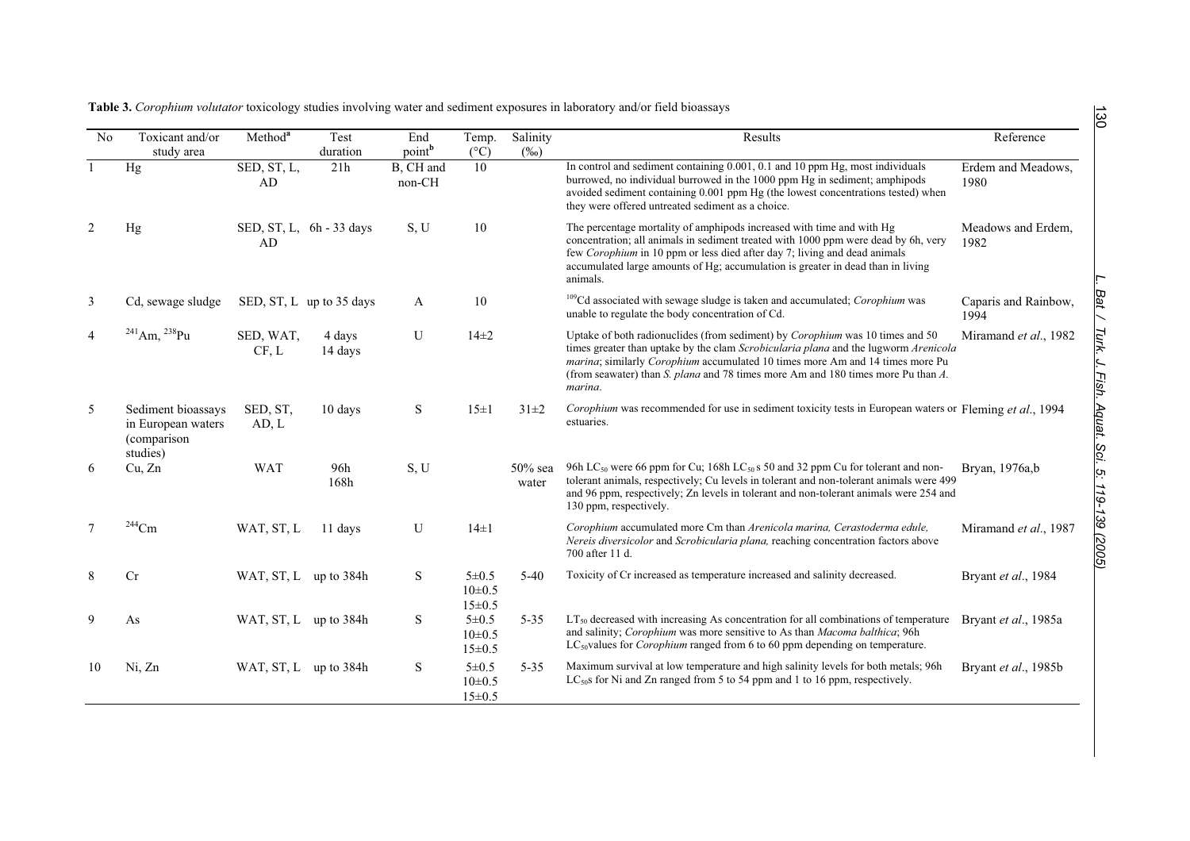|  |  |  | Table 3. Corophium volutator toxicology studies involving water and sediment exposures in laboratory and/or field bioassays |
|--|--|--|-----------------------------------------------------------------------------------------------------------------------------|
|  |  |  |                                                                                                                             |

| N <sub>0</sub> | Toxicant and/or<br>study area                                       | Method <sup>a</sup>   | Test<br>duration           | End<br>point <sup>b</sup> | Temp.<br>$(^{\circ}C)$                     | Salinity<br>$(\%0)$ | Results                                                                                                                                                                                                                                                                                                                                                     | Reference                    |
|----------------|---------------------------------------------------------------------|-----------------------|----------------------------|---------------------------|--------------------------------------------|---------------------|-------------------------------------------------------------------------------------------------------------------------------------------------------------------------------------------------------------------------------------------------------------------------------------------------------------------------------------------------------------|------------------------------|
|                | Hg                                                                  | SED, ST, L,<br>AD     | 21h                        | B, CH and<br>non-CH       | 10                                         |                     | In control and sediment containing 0.001, 0.1 and 10 ppm Hg, most individuals<br>burrowed, no individual burrowed in the 1000 ppm Hg in sediment; amphipods<br>avoided sediment containing 0.001 ppm Hg (the lowest concentrations tested) when<br>they were offered untreated sediment as a choice.                                                        | Erdem and Meadows,<br>1980   |
| 2              | Hg                                                                  | AD                    | SED, ST, L, $6h - 33$ days | S, U                      | 10                                         |                     | The percentage mortality of amphipods increased with time and with Hg<br>concentration; all animals in sediment treated with 1000 ppm were dead by 6h, very<br>few Corophium in 10 ppm or less died after day 7; living and dead animals<br>accumulated large amounts of Hg; accumulation is greater in dead than in living<br>animals.                     | Meadows and Erdem,<br>1982   |
| 3              | Cd, sewage sludge                                                   |                       | SED, ST, L up to 35 days   | A                         | 10                                         |                     | <sup>109</sup> Cd associated with sewage sludge is taken and accumulated; Corophium was<br>unable to regulate the body concentration of Cd.                                                                                                                                                                                                                 | Caparis and Rainbow,<br>1994 |
| $\overline{4}$ | $^{241}$ Am, $^{238}$ Pu                                            | SED, WAT,<br>CF, L    | 4 days<br>14 days          | U                         | $14\pm2$                                   |                     | Uptake of both radionuclides (from sediment) by <i>Corophium</i> was 10 times and 50<br>times greater than uptake by the clam Scrobicularia plana and the lugworm Arenicola<br>marina; similarly Corophium accumulated 10 times more Am and 14 times more Pu<br>(from seawater) than S. plana and 78 times more Am and 180 times more Pu than A.<br>marina. | Miramand et al., 1982        |
| 5              | Sediment bioassays<br>in European waters<br>(comparison<br>studies) | SED, ST.<br>AD, L     | 10 days                    | S                         | $15\pm1$                                   | $31 \pm 2$          | Corophium was recommended for use in sediment toxicity tests in European waters or Fleming et al., 1994<br>estuaries.                                                                                                                                                                                                                                       |                              |
| 6              | Cu, Zn                                                              | <b>WAT</b>            | 96h<br>168h                | S, U                      |                                            | $50\%$ sea<br>water | 96h LC <sub>50</sub> were 66 ppm for Cu; 168h LC <sub>50</sub> s 50 and 32 ppm Cu for tolerant and non-<br>tolerant animals, respectively; Cu levels in tolerant and non-tolerant animals were 499<br>and 96 ppm, respectively; Zn levels in tolerant and non-tolerant animals were 254 and<br>130 ppm, respectively.                                       | Bryan, 1976a,b               |
| $\overline{7}$ | $\mathrm{^{244}Cm}$                                                 | WAT, ST, L            | 11 days                    | U                         | $14\pm1$                                   |                     | Corophium accumulated more Cm than Arenicola marina, Cerastoderma edule,<br>Nereis diversicolor and Scrobicularia plana, reaching concentration factors above<br>700 after 11 d.                                                                                                                                                                            | Miramand et al., 1987        |
| 8              | Cr                                                                  | WAT, ST, L up to 384h |                            | S                         | 5 ± 0.5<br>$10\pm 0.5$<br>$15 \pm 0.5$     | $5 - 40$            | Toxicity of Cr increased as temperature increased and salinity decreased.                                                                                                                                                                                                                                                                                   | Bryant et al., 1984          |
| 9              | As                                                                  | WAT, ST, L up to 384h |                            | S                         | $5 \pm 0.5$<br>$10\pm 0.5$<br>$15 \pm 0.5$ | $5 - 35$            | $LT_{50}$ decreased with increasing As concentration for all combinations of temperature<br>and salinity; Corophium was more sensitive to As than Macoma balthica; 96h<br>$LC_{50}$ values for <i>Corophium</i> ranged from 6 to 60 ppm depending on temperature.                                                                                           | Bryant et al., 1985a         |
| 10             | Ni, Zn                                                              | WAT, ST, L up to 384h |                            | S                         | 5 ± 0.5<br>$10 \pm 0.5$<br>$15 \pm 0.5$    | $5 - 35$            | Maximum survival at low temperature and high salinity levels for both metals; 96h<br>$LC_{50}$ for Ni and Zn ranged from 5 to 54 ppm and 1 to 16 ppm, respectively.                                                                                                                                                                                         | Bryant et al., 1985b         |

L. Bat / Turk. J. Fish. Aquat. Sci. 5: 119-139 (2005) *L. Bat / Turk. J. Fish. Aquat. Sci. 5: 119-139 (2005)*

130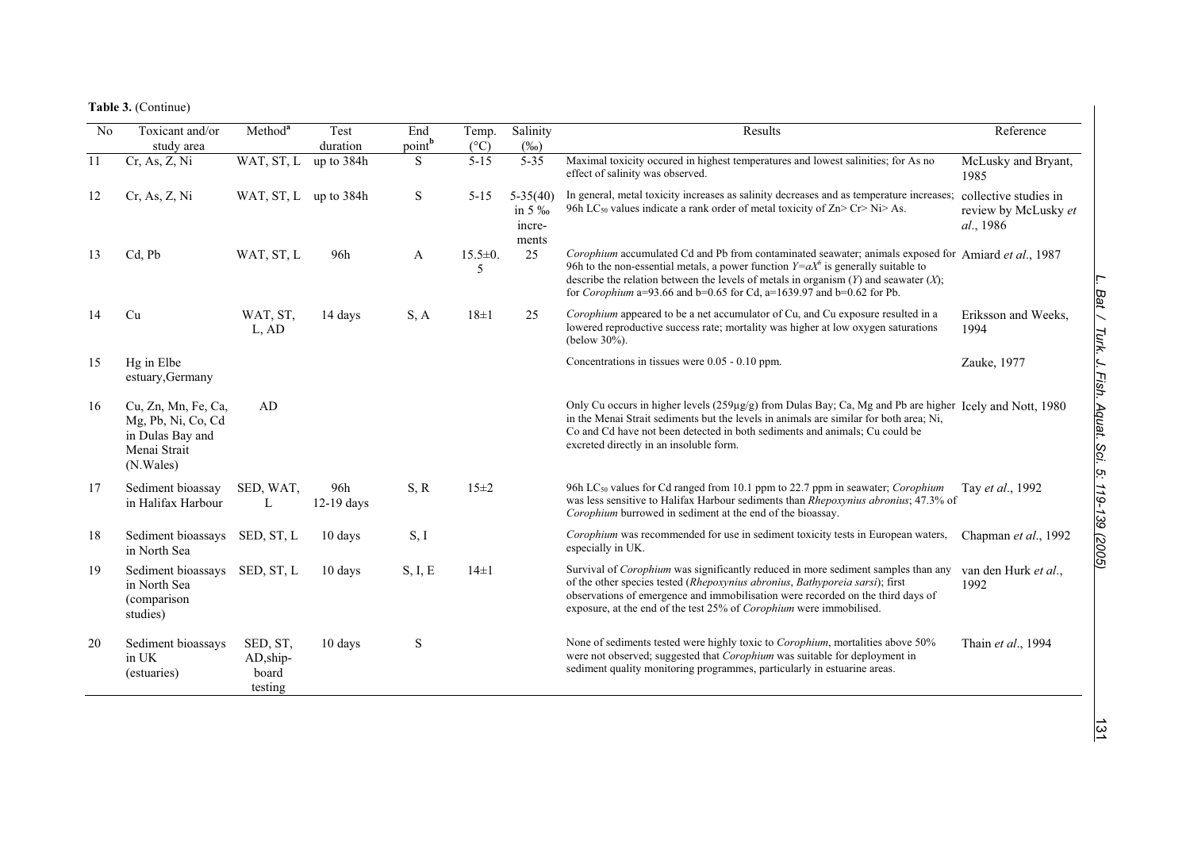**Table 3.** (Continue)

| No | Toxicant and/or<br>study area                                                              | Method <sup>a</sup>                         | Test<br>duration    | End<br>point <sup>b</sup> | Temp.<br>$(^{\circ}C)$ | Salinity<br>$(\%0)$                        | Results                                                                                                                                                                                                                                                                                                                                                                 | Reference                         |
|----|--------------------------------------------------------------------------------------------|---------------------------------------------|---------------------|---------------------------|------------------------|--------------------------------------------|-------------------------------------------------------------------------------------------------------------------------------------------------------------------------------------------------------------------------------------------------------------------------------------------------------------------------------------------------------------------------|-----------------------------------|
| 11 | Cr, As, Z, Ni                                                                              | WAT, ST, L                                  | up to 384h          | S.                        | $5 - 15$               | $5 - 35$                                   | Maximal toxicity occured in highest temperatures and lowest salinities; for As no<br>effect of salinity was observed.                                                                                                                                                                                                                                                   | McLusky and Bryant,<br>1985       |
| 12 | Cr, As, Z, Ni                                                                              | WAT, ST, L up to 384h                       |                     | S                         | $5 - 15$               | $5-35(40)$<br>in 5 $\%$<br>incre-<br>ments | In general, metal toxicity increases as salinity decreases and as temperature increases; collective studies in<br>96h LC <sub>50</sub> values indicate a rank order of metal toxicity of $Zn > Cr > Ni > As$ .                                                                                                                                                          | review by McLusky et<br>al., 1986 |
| 13 | Cd, Pb                                                                                     | WAT, ST, L                                  | 96h                 | A                         | $15.5 \pm 0.$<br>5     | 25                                         | Corophium accumulated Cd and Pb from contaminated seawater; animals exposed for Amiard et al., 1987<br>96h to the non-essential metals, a power function $Y=aX^b$ is generally suitable to<br>describe the relation between the levels of metals in organism $(Y)$ and seawater $(X)$ ;<br>for <i>Corophium</i> a=93.66 and b=0.65 for Cd, a=1639.97 and b=0.62 for Pb. |                                   |
| 14 | Cu                                                                                         | WAT, ST,<br>L, AD                           | 14 days             | S, A                      | $18\pm1$               | 25                                         | Corophium appeared to be a net accumulator of Cu, and Cu exposure resulted in a<br>lowered reproductive success rate; mortality was higher at low oxygen saturations<br>(below $30\%$ ).                                                                                                                                                                                | Eriksson and Weeks,<br>1994       |
| 15 | Hg in Elbe<br>estuary, Germany                                                             |                                             |                     |                           |                        |                                            | Concentrations in tissues were 0.05 - 0.10 ppm.                                                                                                                                                                                                                                                                                                                         | Zauke, 1977                       |
| 16 | Cu, Zn, Mn, Fe, Ca,<br>Mg, Pb, Ni, Co, Cd<br>in Dulas Bay and<br>Menai Strait<br>(N.Wales) | AD                                          |                     |                           |                        |                                            | Only Cu occurs in higher levels $(259\mu g/g)$ from Dulas Bay; Ca, Mg and Pb are higher Icely and Nott. 1980<br>in the Menai Strait sediments but the levels in animals are similar for both area; Ni,<br>Co and Cd have not been detected in both sediments and animals; Cu could be<br>excreted directly in an insoluble form.                                        |                                   |
| 17 | Sediment bioassay<br>in Halifax Harbour                                                    | SED, WAT,<br>L                              | 96h<br>$12-19$ days | S, R                      | 15±2                   |                                            | 96h LC <sub>50</sub> values for Cd ranged from 10.1 ppm to 22.7 ppm in seawater; <i>Corophium</i><br>was less sensitive to Halifax Harbour sediments than <i>Rhepoxynius abronius</i> ; 47.3% of<br>Corophium burrowed in sediment at the end of the bioassay.                                                                                                          | Tay et al., 1992                  |
| 18 | Sediment bioassays<br>in North Sea                                                         | SED, ST, L                                  | 10 days             | S, I                      |                        |                                            | Corophium was recommended for use in sediment toxicity tests in European waters,<br>especially in UK.                                                                                                                                                                                                                                                                   | Chapman et al., 1992              |
| 19 | Sediment bioassays<br>in North Sea<br>(comparison<br>studies)                              | SED, ST, L                                  | 10 days             | S, I, E                   | $14\pm1$               |                                            | Survival of Corophium was significantly reduced in more sediment samples than any<br>of the other species tested (Rhepoxynius abronius, Bathyporeia sarsi); first<br>observations of emergence and immobilisation were recorded on the third days of<br>exposure, at the end of the test 25% of Corophium were immobilised.                                             | van den Hurk et al.,<br>1992      |
| 20 | Sediment bioassays<br>in UK<br>(estuaries)                                                 | SED, ST,<br>$AD, ship-$<br>board<br>testing | 10 days             | S                         |                        |                                            | None of sediments tested were highly toxic to Corophium, mortalities above 50%<br>were not observed; suggested that <i>Corophium</i> was suitable for deployment in<br>sediment quality monitoring programmes, particularly in estuarine areas.                                                                                                                         | Thain et al., 1994                |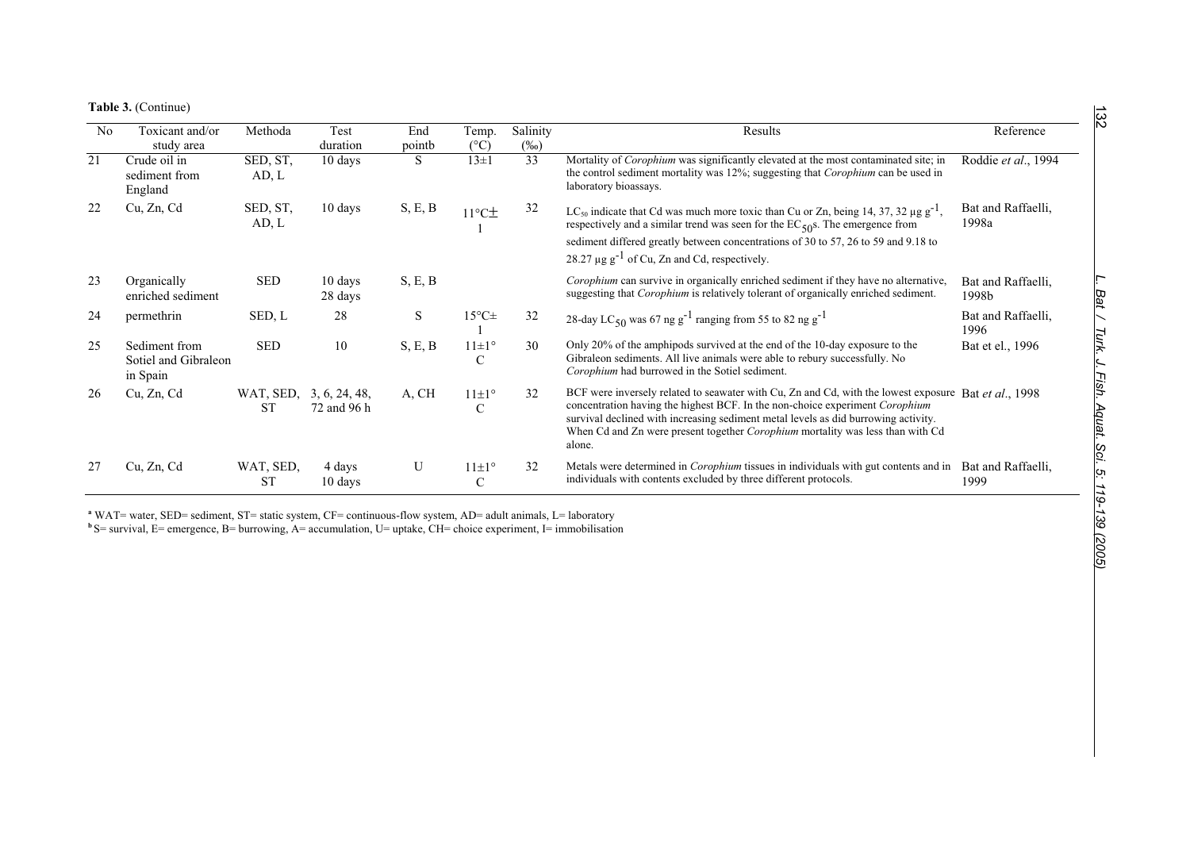**Table 3.** (Continue)

| N <sub>0</sub> | Toxicant and/or<br>study area                     | Methoda                              | Test<br>duration   | End<br>pointb | Temp.<br>$(^{\circ}C)$        | Salinity<br>$(\%0)$ | Results                                                                                                                                                                                                                                                                                                                                                                       | Reference                   |
|----------------|---------------------------------------------------|--------------------------------------|--------------------|---------------|-------------------------------|---------------------|-------------------------------------------------------------------------------------------------------------------------------------------------------------------------------------------------------------------------------------------------------------------------------------------------------------------------------------------------------------------------------|-----------------------------|
| 21             | Crude oil in<br>sediment from<br>England          | SED, ST,<br>AD, L                    | 10 days            | S             | $13\pm1$                      | 33                  | Mortality of Corophium was significantly elevated at the most contaminated site; in<br>the control sediment mortality was 12%; suggesting that <i>Corophium</i> can be used in<br>laboratory bioassays.                                                                                                                                                                       | Roddie et al., 1994         |
| 22             | Cu, Zn, Cd                                        | SED, ST,<br>AD, L                    | 10 days            | S, E, B       | $11^{\circ}$ C $\pm$          | 32                  | LC <sub>50</sub> indicate that Cd was much more toxic than Cu or Zn, being 14, 37, 32 $\mu$ g g <sup>-1</sup> ,<br>respectively and a similar trend was seen for the $EC_{50}$ s. The emergence from                                                                                                                                                                          | Bat and Raffaelli,<br>1998a |
|                |                                                   |                                      |                    |               |                               |                     | sediment differed greatly between concentrations of 30 to 57, 26 to 59 and 9.18 to<br>28.27 $\mu$ g g <sup>-1</sup> of Cu, Zn and Cd, respectively.                                                                                                                                                                                                                           |                             |
| 23             | Organically<br>enriched sediment                  | <b>SED</b>                           | 10 days<br>28 days | S, E, B       |                               |                     | Corophium can survive in organically enriched sediment if they have no alternative,<br>suggesting that <i>Corophium</i> is relatively tolerant of organically enriched sediment.                                                                                                                                                                                              | Bat and Raffaelli,<br>1998b |
| 24             | permethrin                                        | SED, L                               | 28                 | S.            | $15^{\circ}$ C $\pm$          | 32                  | 28-day LC <sub>50</sub> was 67 ng g <sup>-1</sup> ranging from 55 to 82 ng g <sup>-1</sup>                                                                                                                                                                                                                                                                                    | Bat and Raffaelli,<br>1996  |
| 25             | Sediment from<br>Sotiel and Gibraleon<br>in Spain | <b>SED</b>                           | 10                 | S, E, B       | $11 \pm 1$ °<br>$\mathcal{C}$ | 30                  | Only 20% of the amphipods survived at the end of the 10-day exposure to the<br>Gibraleon sediments. All live animals were able to rebury successfully. No<br>Corophium had burrowed in the Sotiel sediment.                                                                                                                                                                   | Bat et el., 1996            |
| 26             | Cu, Zn, Cd                                        | WAT, SED, 3, 6, 24, 48,<br><b>ST</b> | 72 and 96 h        | A, CH         | $11 \pm 1^{\circ}$<br>C       | 32                  | BCF were inversely related to seawater with Cu, Zn and Cd, with the lowest exposure Bat et al., 1998<br>concentration having the highest BCF. In the non-choice experiment Corophium<br>survival declined with increasing sediment metal levels as did burrowing activity.<br>When Cd and Zn were present together <i>Corophium</i> mortality was less than with Cd<br>alone. |                             |
| 27             | Cu, Zn, Cd                                        | WAT, SED,<br><b>ST</b>               | 4 days<br>10 days  | U             | $11 \pm 1$ °<br>$\mathcal{C}$ | 32                  | Metals were determined in <i>Corophium</i> tissues in individuals with gut contents and in<br>individuals with contents excluded by three different protocols.                                                                                                                                                                                                                | Bat and Raffaelli,<br>1999  |

**a** WAT= water, SED= sediment, ST= static system, CF= continuous-flow system, AD= adult animals, L= laboratory

**<sup>b</sup>** S= survival, E= emergence, B= burrowing, A= accumulation, U= uptake, CH= choice experiment, I= immobilisation

132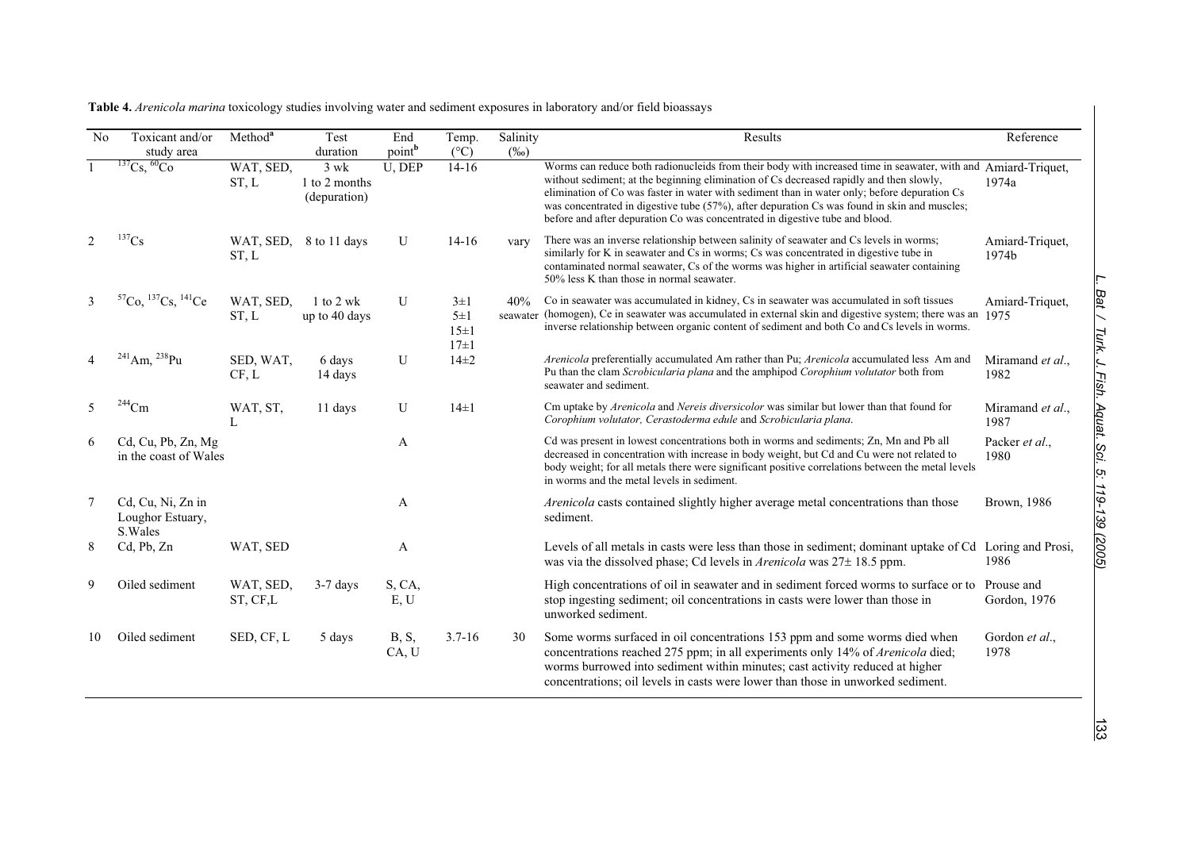| N <sub>0</sub> | Toxicant and/or<br>study area                     | Method <sup>a</sup>   | Test<br>duration                        | End<br>point <sup>b</sup> | Temp.<br>$(^{\circ}C)$                     | Salinity<br>$(\%0)$ | Results                                                                                                                                                                                                                                                                                                                                                                                                                                                                                  | Reference                  |
|----------------|---------------------------------------------------|-----------------------|-----------------------------------------|---------------------------|--------------------------------------------|---------------------|------------------------------------------------------------------------------------------------------------------------------------------------------------------------------------------------------------------------------------------------------------------------------------------------------------------------------------------------------------------------------------------------------------------------------------------------------------------------------------------|----------------------------|
|                | $^{137}Cs,~^{60}Co$                               | WAT, SED,<br>ST, L    | $3$ wk<br>1 to 2 months<br>(depuration) | U, DEP                    | $14 - 16$                                  |                     | Worms can reduce both radionucleids from their body with increased time in seawater, with and Amiard-Triquet,<br>without sediment; at the beginning elimination of Cs decreased rapidly and then slowly,<br>elimination of Co was faster in water with sediment than in water only; before depuration Cs<br>was concentrated in digestive tube (57%), after depuration Cs was found in skin and muscles;<br>before and after depuration Co was concentrated in digestive tube and blood. | 1974a                      |
| 2              | $^{137}\mathrm{Cs}$                               | WAT, SED,<br>ST, L    | 8 to 11 days                            | U                         | $14-16$                                    | vary                | There was an inverse relationship between salinity of seawater and Cs levels in worms;<br>similarly for K in seawater and Cs in worms; Cs was concentrated in digestive tube in<br>contaminated normal seawater, Cs of the worms was higher in artificial seawater containing<br>50% less K than those in normal seawater.                                                                                                                                                               | Amiard-Triquet,<br>1974b   |
| 3              | ${}^{57}Co, {}^{137}Cs, {}^{141}Ce$               | WAT, SED,<br>ST, L    | $1$ to $2$ wk<br>up to 40 days          | U                         | $3\pm1$<br>$5\pm1$<br>$15\pm1$<br>$17\pm1$ | 40%                 | Co in seawater was accumulated in kidney, Cs in seawater was accumulated in soft tissues<br>seawater (homogen), Ce in seawater was accumulated in external skin and digestive system; there was an 1975<br>inverse relationship between organic content of sediment and both Co and Cs levels in worms.                                                                                                                                                                                  | Amiard-Triquet,            |
| 4              | $^{241}$ Am, $^{238}$ Pu                          | SED, WAT,<br>CF, L    | 6 days<br>14 days                       | U                         | $14\pm2$                                   |                     | Arenicola preferentially accumulated Am rather than Pu; Arenicola accumulated less Am and<br>Pu than the clam Scrobicularia plana and the amphipod Corophium volutator both from<br>seawater and sediment.                                                                                                                                                                                                                                                                               | Miramand et al.,<br>1982   |
| 5              | $^{244}\mathrm{Cm}$                               | WAT, ST,              | 11 days                                 | U                         | $14\pm1$                                   |                     | Cm uptake by Arenicola and Nereis diversicolor was similar but lower than that found for<br>Corophium volutator, Cerastoderma edule and Scrobicularia plana.                                                                                                                                                                                                                                                                                                                             | Miramand et al.,<br>1987   |
| 6              | Cd, Cu, Pb, Zn, Mg<br>in the coast of Wales       |                       |                                         | A                         |                                            |                     | Cd was present in lowest concentrations both in worms and sediments; Zn, Mn and Pb all<br>decreased in concentration with increase in body weight, but Cd and Cu were not related to<br>body weight; for all metals there were significant positive correlations between the metal levels<br>in worms and the metal levels in sediment.                                                                                                                                                  | Packer et al.,<br>1980     |
| 7              | Cd, Cu, Ni, Zn in<br>Loughor Estuary,<br>S. Wales |                       |                                         | A                         |                                            |                     | Arenicola casts contained slightly higher average metal concentrations than those<br>sediment.                                                                                                                                                                                                                                                                                                                                                                                           | Brown, 1986                |
| 8              | Cd, Pb, Zn                                        | WAT, SED              |                                         | A                         |                                            |                     | Levels of all metals in casts were less than those in sediment; dominant uptake of Cd<br>was via the dissolved phase; Cd levels in <i>Arenicola</i> was 27± 18.5 ppm.                                                                                                                                                                                                                                                                                                                    | Loring and Prosi,<br>1986  |
| 9              | Oiled sediment                                    | WAT, SED,<br>ST, CF,L | $3-7$ days                              | S, CA,<br>E, U            |                                            |                     | High concentrations of oil in seawater and in sediment forced worms to surface or to<br>stop ingesting sediment; oil concentrations in casts were lower than those in<br>unworked sediment.                                                                                                                                                                                                                                                                                              | Prouse and<br>Gordon, 1976 |
| 10             | Oiled sediment                                    | SED, CF, L            | 5 days                                  | <b>B</b> , S,<br>CA, U    | $3.7 - 16$                                 | 30                  | Some worms surfaced in oil concentrations 153 ppm and some worms died when<br>concentrations reached 275 ppm; in all experiments only 14% of Arenicola died;<br>worms burrowed into sediment within minutes; cast activity reduced at higher<br>concentrations; oil levels in casts were lower than those in unworked sediment.                                                                                                                                                          | Gordon et al.,<br>1978     |

**Table 4.** *Arenicola marina* toxicology studies involving water and sediment exposures in laboratory and/or field bioassays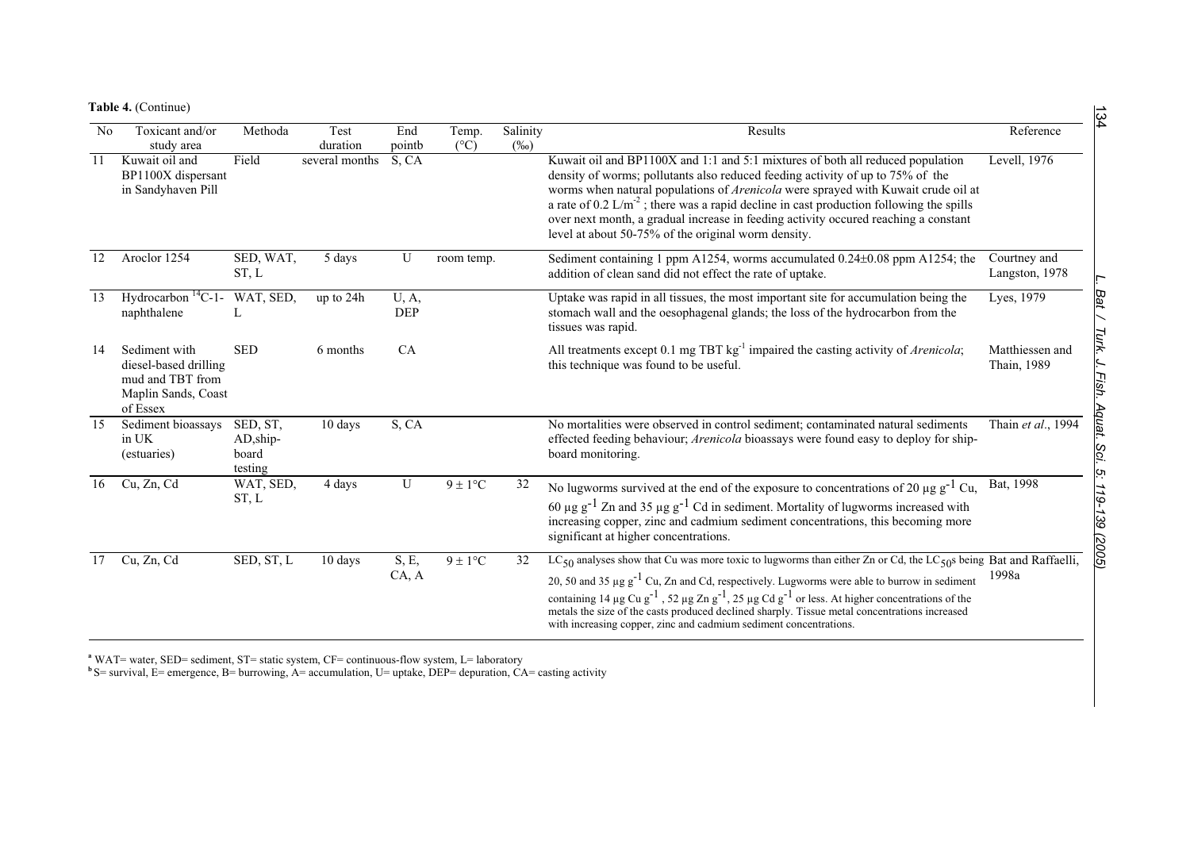**Table 4.** (Continue)

|                | Table 4. (Continue)                                                                           |                                           |                  |                     |                        |                     |                                                                                                                                                                                                                                                                                                                                                                                                                                                                                                                                                                                   |                                |
|----------------|-----------------------------------------------------------------------------------------------|-------------------------------------------|------------------|---------------------|------------------------|---------------------|-----------------------------------------------------------------------------------------------------------------------------------------------------------------------------------------------------------------------------------------------------------------------------------------------------------------------------------------------------------------------------------------------------------------------------------------------------------------------------------------------------------------------------------------------------------------------------------|--------------------------------|
| N <sub>0</sub> | Toxicant and/or<br>study area                                                                 | Methoda                                   | Test<br>duration | End<br>pointb       | Temp.<br>$(^{\circ}C)$ | Salinity<br>$(\%0)$ | Results                                                                                                                                                                                                                                                                                                                                                                                                                                                                                                                                                                           | Reference                      |
| 11             | Kuwait oil and<br>BP1100X dispersant<br>in Sandyhaven Pill                                    | Field                                     | several months   | S, CA               |                        |                     | Kuwait oil and BP1100X and 1:1 and 5:1 mixtures of both all reduced population<br>density of worms; pollutants also reduced feeding activity of up to 75% of the<br>worms when natural populations of Arenicola were sprayed with Kuwait crude oil at<br>a rate of 0.2 $L/m2$ ; there was a rapid decline in cast production following the spills<br>over next month, a gradual increase in feeding activity occured reaching a constant<br>level at about 50-75% of the original worm density.                                                                                   | Levell, 1976                   |
| 12             | Aroclor 1254                                                                                  | SED, WAT,<br>ST, L                        | 5 days           | U                   | room temp.             |                     | Sediment containing 1 ppm A1254, worms accumulated 0.24±0.08 ppm A1254; the<br>addition of clean sand did not effect the rate of uptake.                                                                                                                                                                                                                                                                                                                                                                                                                                          | Courtney and<br>Langston, 1978 |
| 13             | Hydrocarbon ${}^{14}C-1-$<br>naphthalene                                                      | WAT, SED,                                 | up to 24h        | U, A,<br><b>DEP</b> |                        |                     | Uptake was rapid in all tissues, the most important site for accumulation being the<br>stomach wall and the oesophagenal glands; the loss of the hydrocarbon from the<br>tissues was rapid.                                                                                                                                                                                                                                                                                                                                                                                       | Lyes, 1979                     |
| 14             | Sediment with<br>diesel-based drilling<br>mud and TBT from<br>Maplin Sands, Coast<br>of Essex | <b>SED</b>                                | 6 months         | CA                  |                        |                     | All treatments except 0.1 mg TBT $kg^{-1}$ impaired the casting activity of <i>Arenicola</i> ;<br>this technique was found to be useful.                                                                                                                                                                                                                                                                                                                                                                                                                                          | Matthiessen and<br>Thain, 1989 |
| 15             | Sediment bioassays<br>in UK<br>(estuaries)                                                    | SED, ST,<br>AD, ship-<br>board<br>testing | 10 days          | S, CA               |                        |                     | No mortalities were observed in control sediment; contaminated natural sediments<br>effected feeding behaviour; <i>Arenicola</i> bioassays were found easy to deploy for ship-<br>board monitoring.                                                                                                                                                                                                                                                                                                                                                                               | Thain et al., 1994             |
| 16             | Cu, Zn, Cd                                                                                    | WAT, SED,<br>ST, L                        | 4 days           | U                   | $9 \pm 1$ °C           | 32                  | No lugworms survived at the end of the exposure to concentrations of 20 $\mu$ g g <sup>-1</sup> Cu,<br>60 $\mu$ g g <sup>-1</sup> Zn and 35 $\mu$ g g <sup>-1</sup> Cd in sediment. Mortality of lugworms increased with<br>increasing copper, zinc and cadmium sediment concentrations, this becoming more<br>significant at higher concentrations.                                                                                                                                                                                                                              | Bat. 1998                      |
| 17             | Cu, Zn, Cd                                                                                    | SED, ST, L                                | 10 days          | S, E,<br>CA, A      | $9 \pm 1$ °C           | 32                  | LC <sub>50</sub> analyses show that Cu was more toxic to lugworms than either Zn or Cd, the LC <sub>50</sub> s being Bat and Raffaelli,<br>20, 50 and 35 $\mu$ g g <sup>-1</sup> Cu, Zn and Cd, respectively. Lugworms were able to burrow in sediment<br>containing 14 $\mu$ g Cu g <sup>-1</sup> , 52 $\mu$ g Zn g <sup>-1</sup> , 25 $\mu$ g Cd g <sup>-1</sup> or less. At higher concentrations of the<br>metals the size of the casts produced declined sharply. Tissue metal concentrations increased<br>with increasing copper, zinc and cadmium sediment concentrations. | 1998a                          |

<sup>a</sup> WAT= water, SED= sediment, ST= static system, CF= continuous-flow system, L= laboratory

**b** S= survival, E= emergence, B= burrowing, A= accumulation, U= uptake, DEP= depuration, CA= casting activity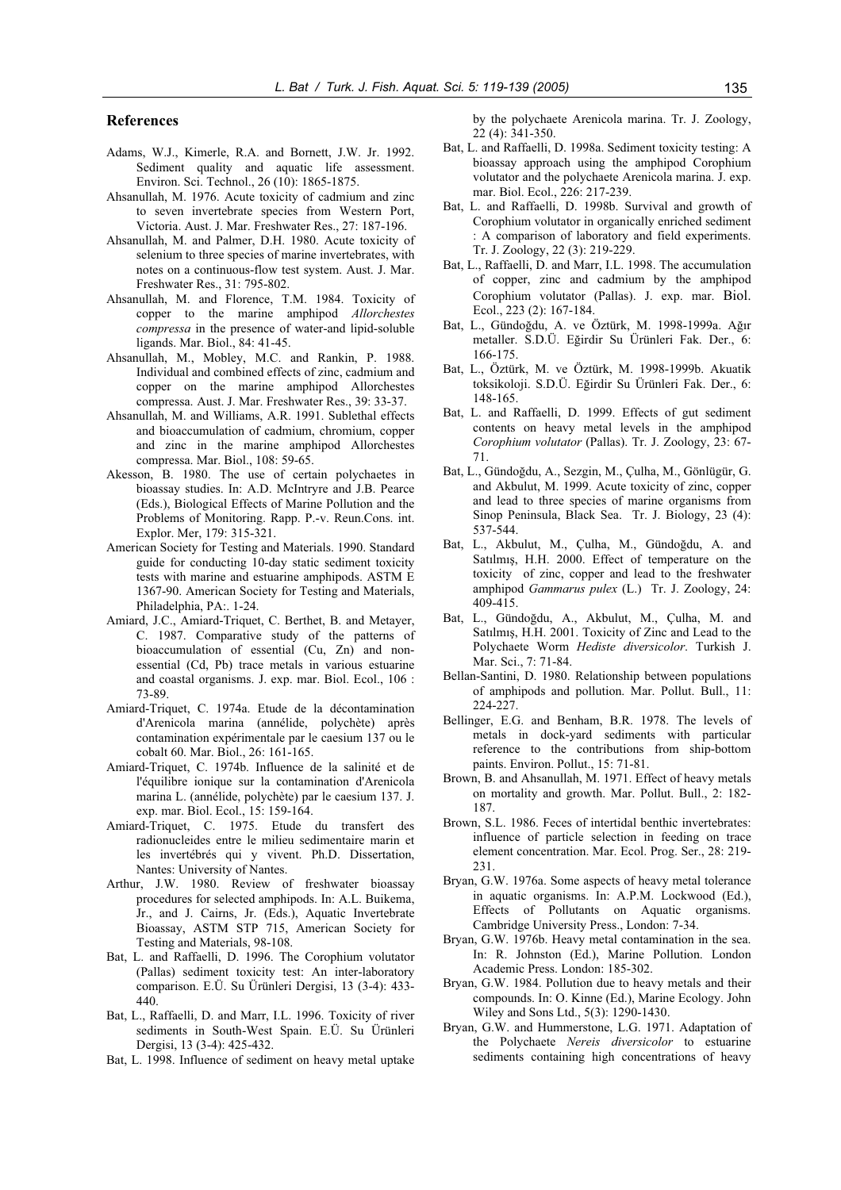### **References**

- Adams, W.J., Kimerle, R.A. and Bornett, J.W. Jr. 1992. Sediment quality and aquatic life assessment. Environ. Sci. Technol., 26 (10): 1865-1875.
- Ahsanullah, M. 1976. Acute toxicity of cadmium and zinc to seven invertebrate species from Western Port, Victoria. Aust. J. Mar. Freshwater Res., 27: 187-196.
- Ahsanullah, M. and Palmer, D.H. 1980. Acute toxicity of selenium to three species of marine invertebrates, with notes on a continuous-flow test system. Aust. J. Mar. Freshwater Res., 31: 795-802.
- Ahsanullah, M. and Florence, T.M. 1984. Toxicity of copper to the marine amphipod *Allorchestes compressa* in the presence of water-and lipid-soluble ligands. Mar. Biol., 84: 41-45.
- Ahsanullah, M., Mobley, M.C. and Rankin, P. 1988. Individual and combined effects of zinc, cadmium and copper on the marine amphipod Allorchestes compressa. Aust. J. Mar. Freshwater Res., 39: 33-37.
- Ahsanullah, M. and Williams, A.R. 1991. Sublethal effects and bioaccumulation of cadmium, chromium, copper and zinc in the marine amphipod Allorchestes compressa. Mar. Biol., 108: 59-65.
- Akesson, B. 1980. The use of certain polychaetes in bioassay studies. In: A.D. McIntryre and J.B. Pearce (Eds.), Biological Effects of Marine Pollution and the Problems of Monitoring. Rapp. P.-v. Reun.Cons. int. Explor. Mer, 179: 315-321.
- American Society for Testing and Materials. 1990. Standard guide for conducting 10-day static sediment toxicity tests with marine and estuarine amphipods. ASTM E 1367-90. American Society for Testing and Materials, Philadelphia, PA:. 1-24.
- Amiard, J.C., Amiard-Triquet, C. Berthet, B. and Metayer, C. 1987. Comparative study of the patterns of bioaccumulation of essential (Cu, Zn) and nonessential (Cd, Pb) trace metals in various estuarine and coastal organisms. J. exp. mar. Biol. Ecol., 106 : 73-89.
- Amiard-Triquet, C. 1974a. Etude de la décontamination d'Arenicola marina (annélide, polychète) après contamination expérimentale par le caesium 137 ou le cobalt 60. Mar. Biol., 26: 161-165.
- Amiard-Triquet, C. 1974b. Influence de la salinité et de l'équilibre ionique sur la contamination d'Arenicola marina L. (annélide, polychète) par le caesium 137. J. exp. mar. Biol. Ecol., 15: 159-164.
- Amiard-Triquet, C. 1975. Etude du transfert des radionucleides entre le milieu sedimentaire marin et les invertébrés qui y vivent. Ph.D. Dissertation, Nantes: University of Nantes.
- Arthur, J.W. 1980. Review of freshwater bioassay procedures for selected amphipods. In: A.L. Buikema, Jr., and J. Cairns, Jr. (Eds.), Aquatic Invertebrate Bioassay, ASTM STP 715, American Society for Testing and Materials, 98-108.
- Bat, L. and Raffaelli, D. 1996. The Corophium volutator (Pallas) sediment toxicity test: An inter-laboratory comparison. E.Ü. Su Ürünleri Dergisi, 13 (3-4): 433- 440.
- Bat, L., Raffaelli, D. and Marr, I.L. 1996. Toxicity of river sediments in South-West Spain. E.Ü. Su Ürünleri Dergisi, 13 (3-4): 425-432.
- Bat, L. 1998. Influence of sediment on heavy metal uptake

by the polychaete Arenicola marina. Tr. J. Zoology, 22 (4): 341-350.

- Bat, L. and Raffaelli, D. 1998a. Sediment toxicity testing: A bioassay approach using the amphipod Corophium volutator and the polychaete Arenicola marina. J. exp. mar. Biol. Ecol., 226: 217-239.
- Bat, L. and Raffaelli, D. 1998b. Survival and growth of Corophium volutator in organically enriched sediment : A comparison of laboratory and field experiments. Tr. J. Zoology, 22 (3): 219-229.
- Bat, L., Raffaelli, D. and Marr, I.L. 1998. The accumulation of copper, zinc and cadmium by the amphipod Corophium volutator (Pallas). J. exp. mar. Biol. Ecol., 223 (2): 167-184.
- Bat, L., Gündoğdu, A. ve Öztürk, M. 1998-1999a. Ağır metaller. S.D.Ü. Eğirdir Su Ürünleri Fak. Der., 6: 166-175.
- Bat, L., Öztürk, M. ve Öztürk, M. 1998-1999b. Akuatik toksikoloji. S.D.Ü. Eğirdir Su Ürünleri Fak. Der., 6: 148-165.
- Bat, L. and Raffaelli, D. 1999. Effects of gut sediment contents on heavy metal levels in the amphipod *Corophium volutator* (Pallas). Tr. J. Zoology, 23: 67- 71.
- Bat, L., Gündoğdu, A., Sezgin, M., Çulha, M., Gönlügür, G. and Akbulut, M. 1999. Acute toxicity of zinc, copper and lead to three species of marine organisms from Sinop Peninsula, Black Sea. Tr. J. Biology, 23 (4): 537-544.
- Bat, L., Akbulut, M., Çulha, M., Gündoğdu, A. and Satılmış, H.H. 2000. Effect of temperature on the toxicity of zinc, copper and lead to the freshwater amphipod *Gammarus pulex* (L.) Tr. J. Zoology, 24: 409-415.
- Bat, L., Gündoğdu, A., Akbulut, M., Çulha, M. and Satılmış, H.H. 2001. Toxicity of Zinc and Lead to the Polychaete Worm *Hediste diversicolor*. Turkish J. Mar. Sci., 7: 71-84.
- Bellan-Santini, D. 1980. Relationship between populations of amphipods and pollution. Mar. Pollut. Bull., 11: 224-227.
- Bellinger, E.G. and Benham, B.R. 1978. The levels of metals in dock-yard sediments with particular reference to the contributions from ship-bottom paints. Environ. Pollut., 15: 71-81.
- Brown, B. and Ahsanullah, M. 1971. Effect of heavy metals on mortality and growth. Mar. Pollut. Bull., 2: 182- 187.
- Brown, S.L. 1986. Feces of intertidal benthic invertebrates: influence of particle selection in feeding on trace element concentration. Mar. Ecol. Prog. Ser., 28: 219- 231.
- Bryan, G.W. 1976a. Some aspects of heavy metal tolerance in aquatic organisms. In: A.P.M. Lockwood (Ed.), Effects of Pollutants on Aquatic organisms. Cambridge University Press., London: 7-34.
- Bryan, G.W. 1976b. Heavy metal contamination in the sea. In: R. Johnston (Ed.), Marine Pollution. London Academic Press. London: 185-302.
- Bryan, G.W. 1984. Pollution due to heavy metals and their compounds. In: O. Kinne (Ed.), Marine Ecology. John Wiley and Sons Ltd., 5(3): 1290-1430.
- Bryan, G.W. and Hummerstone, L.G. 1971. Adaptation of the Polychaete *Nereis diversicolor* to estuarine sediments containing high concentrations of heavy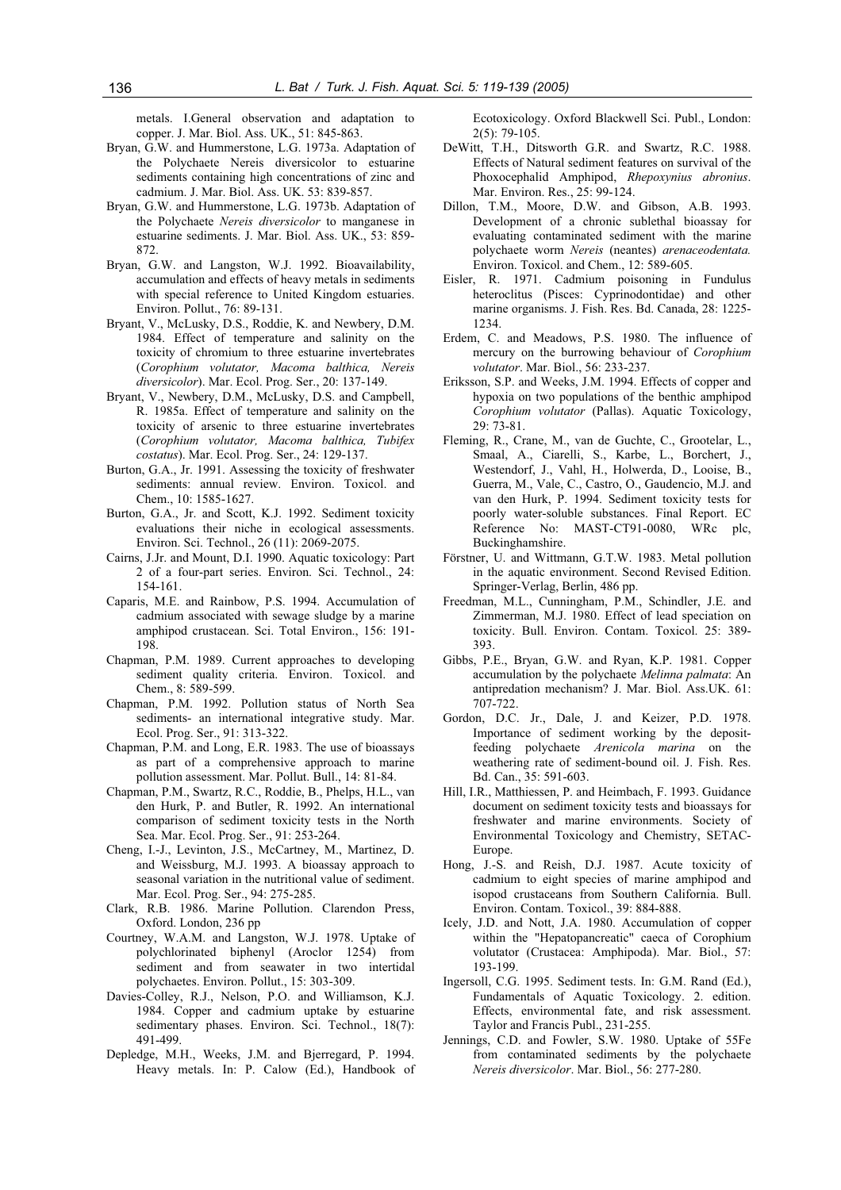metals. I.General observation and adaptation to copper. J. Mar. Biol. Ass. UK., 51: 845-863.

- Bryan, G.W. and Hummerstone, L.G. 1973a. Adaptation of the Polychaete Nereis diversicolor to estuarine sediments containing high concentrations of zinc and cadmium. J. Mar. Biol. Ass. UK. 53: 839-857.
- Bryan, G.W. and Hummerstone, L.G. 1973b. Adaptation of the Polychaete *Nereis diversicolor* to manganese in estuarine sediments. J. Mar. Biol. Ass. UK., 53: 859- 872.
- Bryan, G.W. and Langston, W.J. 1992. Bioavailability, accumulation and effects of heavy metals in sediments with special reference to United Kingdom estuaries. Environ. Pollut., 76: 89-131.
- Bryant, V., McLusky, D.S., Roddie, K. and Newbery, D.M. 1984. Effect of temperature and salinity on the toxicity of chromium to three estuarine invertebrates (*Corophium volutator, Macoma balthica, Nereis diversicolor*). Mar. Ecol. Prog. Ser., 20: 137-149.
- Bryant, V., Newbery, D.M., McLusky, D.S. and Campbell, R. 1985a. Effect of temperature and salinity on the toxicity of arsenic to three estuarine invertebrates (*Corophium volutator, Macoma balthica, Tubifex costatus*). Mar. Ecol. Prog. Ser., 24: 129-137.
- Burton, G.A., Jr. 1991. Assessing the toxicity of freshwater sediments: annual review. Environ. Toxicol. and Chem., 10: 1585-1627.
- Burton, G.A., Jr. and Scott, K.J. 1992. Sediment toxicity evaluations their niche in ecological assessments. Environ. Sci. Technol., 26 (11): 2069-2075.
- Cairns, J.Jr. and Mount, D.I. 1990. Aquatic toxicology: Part 2 of a four-part series. Environ. Sci. Technol., 24: 154-161.
- Caparis, M.E. and Rainbow, P.S. 1994. Accumulation of cadmium associated with sewage sludge by a marine amphipod crustacean. Sci. Total Environ., 156: 191- 198.
- Chapman, P.M. 1989. Current approaches to developing sediment quality criteria. Environ. Toxicol. and Chem., 8: 589-599.
- Chapman, P.M. 1992. Pollution status of North Sea sediments- an international integrative study. Mar. Ecol. Prog. Ser., 91: 313-322.
- Chapman, P.M. and Long, E.R. 1983. The use of bioassays as part of a comprehensive approach to marine pollution assessment. Mar. Pollut. Bull., 14: 81-84.
- Chapman, P.M., Swartz, R.C., Roddie, B., Phelps, H.L., van den Hurk, P. and Butler, R. 1992. An international comparison of sediment toxicity tests in the North Sea. Mar. Ecol. Prog. Ser., 91: 253-264.
- Cheng, I.-J., Levinton, J.S., McCartney, M., Martinez, D. and Weissburg, M.J. 1993. A bioassay approach to seasonal variation in the nutritional value of sediment. Mar. Ecol. Prog. Ser., 94: 275-285.
- Clark, R.B. 1986. Marine Pollution. Clarendon Press, Oxford. London, 236 pp
- Courtney, W.A.M. and Langston, W.J. 1978. Uptake of polychlorinated biphenyl (Aroclor 1254) from sediment and from seawater in two intertidal polychaetes. Environ. Pollut., 15: 303-309.
- Davies-Colley, R.J., Nelson, P.O. and Williamson, K.J. 1984. Copper and cadmium uptake by estuarine sedimentary phases. Environ. Sci. Technol., 18(7): 491-499.
- Depledge, M.H., Weeks, J.M. and Bjerregard, P. 1994. Heavy metals. In: P. Calow (Ed.), Handbook of

Ecotoxicology. Oxford Blackwell Sci. Publ., London: 2(5): 79-105.

- DeWitt, T.H., Ditsworth G.R. and Swartz, R.C. 1988. Effects of Natural sediment features on survival of the Phoxocephalid Amphipod, *Rhepoxynius abronius*. Mar. Environ. Res., 25: 99-124.
- Dillon, T.M., Moore, D.W. and Gibson, A.B. 1993. Development of a chronic sublethal bioassay for evaluating contaminated sediment with the marine polychaete worm *Nereis* (neantes) *arenaceodentata.*  Environ. Toxicol. and Chem., 12: 589-605.
- Eisler, R. 1971. Cadmium poisoning in Fundulus heteroclitus (Pisces: Cyprinodontidae) and other marine organisms. J. Fish. Res. Bd. Canada, 28: 1225- 1234.
- Erdem, C. and Meadows, P.S. 1980. The influence of mercury on the burrowing behaviour of *Corophium volutator*. Mar. Biol., 56: 233-237.
- Eriksson, S.P. and Weeks, J.M. 1994. Effects of copper and hypoxia on two populations of the benthic amphipod *Corophium volutator* (Pallas). Aquatic Toxicology, 29: 73-81.
- Fleming, R., Crane, M., van de Guchte, C., Grootelar, L., Smaal, A., Ciarelli, S., Karbe, L., Borchert, J., Westendorf, J., Vahl, H., Holwerda, D., Looise, B., Guerra, M., Vale, C., Castro, O., Gaudencio, M.J. and van den Hurk, P. 1994. Sediment toxicity tests for poorly water-soluble substances. Final Report. EC Reference No: MAST-CT91-0080, WRc plc, Buckinghamshire.
- Förstner, U. and Wittmann, G.T.W. 1983. Metal pollution in the aquatic environment. Second Revised Edition. Springer-Verlag, Berlin, 486 pp.
- Freedman, M.L., Cunningham, P.M., Schindler, J.E. and Zimmerman, M.J. 1980. Effect of lead speciation on toxicity. Bull. Environ. Contam. Toxicol. 25: 389- 393.
- Gibbs, P.E., Bryan, G.W. and Ryan, K.P. 1981. Copper accumulation by the polychaete *Melinna palmata*: An antipredation mechanism? J. Mar. Biol. Ass.UK. 61: 707-722.
- Gordon, D.C. Jr., Dale, J. and Keizer, P.D. 1978. Importance of sediment working by the depositfeeding polychaete *Arenicola marina* on the weathering rate of sediment-bound oil. J. Fish. Res. Bd. Can., 35: 591-603.
- Hill, I.R., Matthiessen, P. and Heimbach, F. 1993. Guidance document on sediment toxicity tests and bioassays for freshwater and marine environments. Society of Environmental Toxicology and Chemistry, SETAC-Europe.
- Hong, J.-S. and Reish, D.J. 1987. Acute toxicity of cadmium to eight species of marine amphipod and isopod crustaceans from Southern California. Bull. Environ. Contam. Toxicol., 39: 884-888.
- Icely, J.D. and Nott, J.A. 1980. Accumulation of copper within the "Hepatopancreatic" caeca of Corophium volutator (Crustacea: Amphipoda). Mar. Biol., 57: 193-199.
- Ingersoll, C.G. 1995. Sediment tests. In: G.M. Rand (Ed.), Fundamentals of Aquatic Toxicology. 2. edition. Effects, environmental fate, and risk assessment. Taylor and Francis Publ., 231-255.
- Jennings, C.D. and Fowler, S.W. 1980. Uptake of 55Fe from contaminated sediments by the polychaete *Nereis diversicolor*. Mar. Biol., 56: 277-280.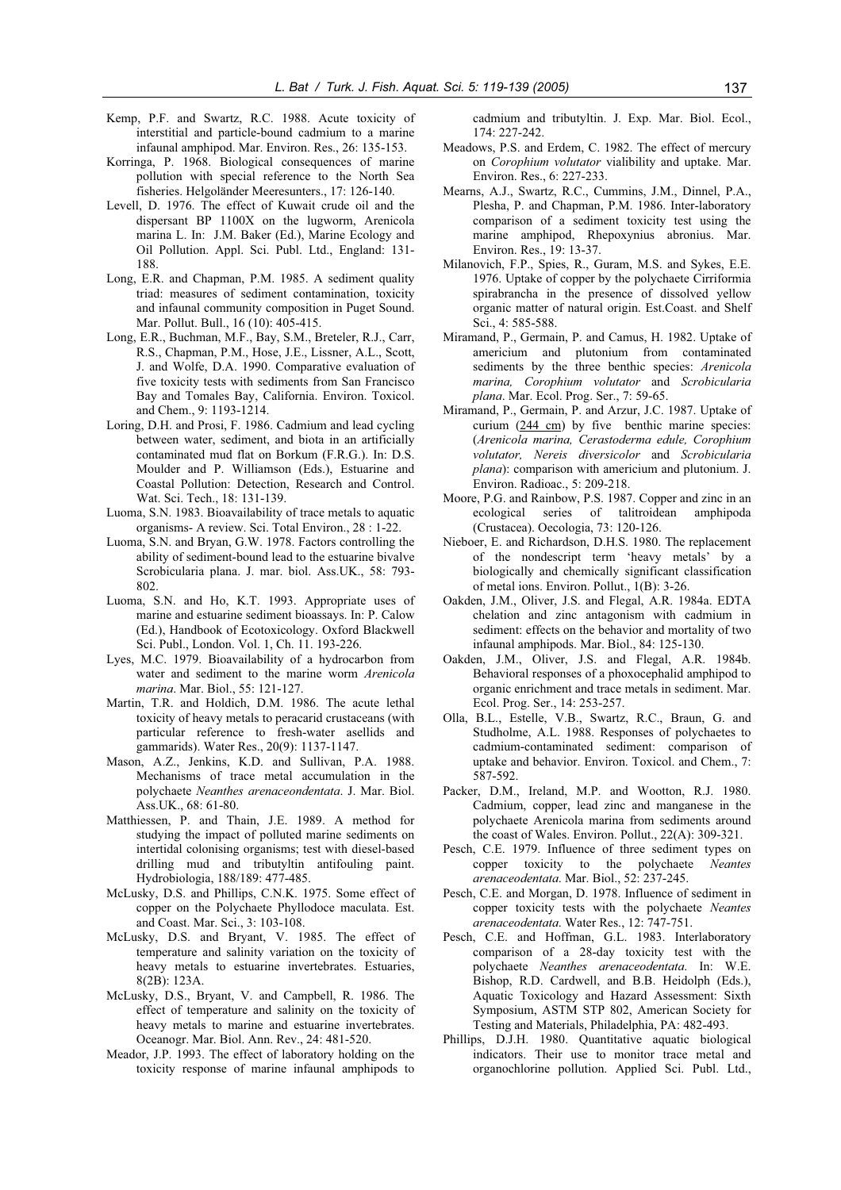- Kemp, P.F. and Swartz, R.C. 1988. Acute toxicity of interstitial and particle-bound cadmium to a marine infaunal amphipod. Mar. Environ. Res., 26: 135-153.
- Korringa, P. 1968. Biological consequences of marine pollution with special reference to the North Sea fisheries. Helgoländer Meeresunters., 17: 126-140.
- Levell, D. 1976. The effect of Kuwait crude oil and the dispersant BP 1100X on the lugworm, Arenicola marina L. In: J.M. Baker (Ed.), Marine Ecology and Oil Pollution. Appl. Sci. Publ. Ltd., England: 131- 188.
- Long, E.R. and Chapman, P.M. 1985. A sediment quality triad: measures of sediment contamination, toxicity and infaunal community composition in Puget Sound. Mar. Pollut. Bull., 16 (10): 405-415.
- Long, E.R., Buchman, M.F., Bay, S.M., Breteler, R.J., Carr, R.S., Chapman, P.M., Hose, J.E., Lissner, A.L., Scott, J. and Wolfe, D.A. 1990. Comparative evaluation of five toxicity tests with sediments from San Francisco Bay and Tomales Bay, California. Environ. Toxicol. and Chem., 9: 1193-1214.
- Loring, D.H. and Prosi, F. 1986. Cadmium and lead cycling between water, sediment, and biota in an artificially contaminated mud flat on Borkum (F.R.G.). In: D.S. Moulder and P. Williamson (Eds.), Estuarine and Coastal Pollution: Detection, Research and Control. Wat. Sci. Tech., 18: 131-139.
- Luoma, S.N. 1983. Bioavailability of trace metals to aquatic organisms- A review. Sci. Total Environ., 28 : 1-22.
- Luoma, S.N. and Bryan, G.W. 1978. Factors controlling the ability of sediment-bound lead to the estuarine bivalve Scrobicularia plana. J. mar. biol. Ass.UK., 58: 793- 802.
- Luoma, S.N. and Ho, K.T. 1993. Appropriate uses of marine and estuarine sediment bioassays. In: P. Calow (Ed.), Handbook of Ecotoxicology. Oxford Blackwell Sci. Publ., London. Vol. 1, Ch. 11. 193-226.
- Lyes, M.C. 1979. Bioavailability of a hydrocarbon from water and sediment to the marine worm *Arenicola marina*. Mar. Biol., 55: 121-127.
- Martin, T.R. and Holdich, D.M. 1986. The acute lethal toxicity of heavy metals to peracarid crustaceans (with particular reference to fresh-water asellids and gammarids). Water Res., 20(9): 1137-1147.
- Mason, A.Z., Jenkins, K.D. and Sullivan, P.A. 1988. Mechanisms of trace metal accumulation in the polychaete *Neanthes arenaceondentata*. J. Mar. Biol. Ass.UK., 68: 61-80.
- Matthiessen, P. and Thain, J.E. 1989. A method for studying the impact of polluted marine sediments on intertidal colonising organisms; test with diesel-based drilling mud and tributyltin antifouling paint. Hydrobiologia, 188/189: 477-485.
- McLusky, D.S. and Phillips, C.N.K. 1975. Some effect of copper on the Polychaete Phyllodoce maculata. Est. and Coast. Mar. Sci., 3: 103-108.
- McLusky, D.S. and Bryant, V. 1985. The effect of temperature and salinity variation on the toxicity of heavy metals to estuarine invertebrates. Estuaries, 8(2B): 123A.
- McLusky, D.S., Bryant, V. and Campbell, R. 1986. The effect of temperature and salinity on the toxicity of heavy metals to marine and estuarine invertebrates. Oceanogr. Mar. Biol. Ann. Rev., 24: 481-520.
- Meador, J.P. 1993. The effect of laboratory holding on the toxicity response of marine infaunal amphipods to

cadmium and tributyltin. J. Exp. Mar. Biol. Ecol., 174: 227-242.

- Meadows, P.S. and Erdem, C. 1982. The effect of mercury on *Corophium volutator* vialibility and uptake. Mar. Environ. Res., 6: 227-233.
- Mearns, A.J., Swartz, R.C., Cummins, J.M., Dinnel, P.A., Plesha, P. and Chapman, P.M. 1986. Inter-laboratory comparison of a sediment toxicity test using the marine amphipod, Rhepoxynius abronius. Mar. Environ. Res., 19: 13-37.
- Milanovich, F.P., Spies, R., Guram, M.S. and Sykes, E.E. 1976. Uptake of copper by the polychaete Cirriformia spirabrancha in the presence of dissolved yellow organic matter of natural origin. Est.Coast. and Shelf Sci., 4: 585-588.
- Miramand, P., Germain, P. and Camus, H. 1982. Uptake of americium and plutonium from contaminated sediments by the three benthic species: *Arenicola marina, Corophium volutator* and *Scrobicularia plana*. Mar. Ecol. Prog. Ser., 7: 59-65.
- Miramand, P., Germain, P. and Arzur, J.C. 1987. Uptake of curium (244 cm) by five benthic marine species: (*Arenicola marina, Cerastoderma edule, Corophium volutator, Nereis diversicolor* and *Scrobicularia plana*): comparison with americium and plutonium. J. Environ. Radioac., 5: 209-218.
- Moore, P.G. and Rainbow, P.S. 1987. Copper and zinc in an ecological series of talitroidean amphipoda (Crustacea). Oecologia, 73: 120-126.
- Nieboer, E. and Richardson, D.H.S. 1980. The replacement of the nondescript term 'heavy metals' by a biologically and chemically significant classification of metal ions. Environ. Pollut., 1(B): 3-26.
- Oakden, J.M., Oliver, J.S. and Flegal, A.R. 1984a. EDTA chelation and zinc antagonism with cadmium in sediment: effects on the behavior and mortality of two infaunal amphipods. Mar. Biol., 84: 125-130.
- Oakden, J.M., Oliver, J.S. and Flegal, A.R. 1984b. Behavioral responses of a phoxocephalid amphipod to organic enrichment and trace metals in sediment. Mar. Ecol. Prog. Ser., 14: 253-257.
- Olla, B.L., Estelle, V.B., Swartz, R.C., Braun, G. and Studholme, A.L. 1988. Responses of polychaetes to cadmium-contaminated sediment: comparison of uptake and behavior. Environ. Toxicol. and Chem., 7: 587-592.
- Packer, D.M., Ireland, M.P. and Wootton, R.J. 1980. Cadmium, copper, lead zinc and manganese in the polychaete Arenicola marina from sediments around the coast of Wales. Environ. Pollut., 22(A): 309-321.
- Pesch, C.E. 1979. Influence of three sediment types on copper toxicity to the polychaete *Neantes arenaceodentata*. Mar. Biol., 52: 237-245.
- Pesch, C.E. and Morgan, D. 1978. Influence of sediment in copper toxicity tests with the polychaete *Neantes arenaceodentata*. Water Res., 12: 747-751.
- Pesch, C.E. and Hoffman, G.L. 1983. Interlaboratory comparison of a 28-day toxicity test with the polychaete *Neanthes arenaceodentata*. In: W.E. Bishop, R.D. Cardwell, and B.B. Heidolph (Eds.), Aquatic Toxicology and Hazard Assessment: Sixth Symposium, ASTM STP 802, American Society for Testing and Materials, Philadelphia, PA: 482-493.
- Phillips, D.J.H. 1980. Quantitative aquatic biological indicators. Their use to monitor trace metal and organochlorine pollution. Applied Sci. Publ. Ltd.,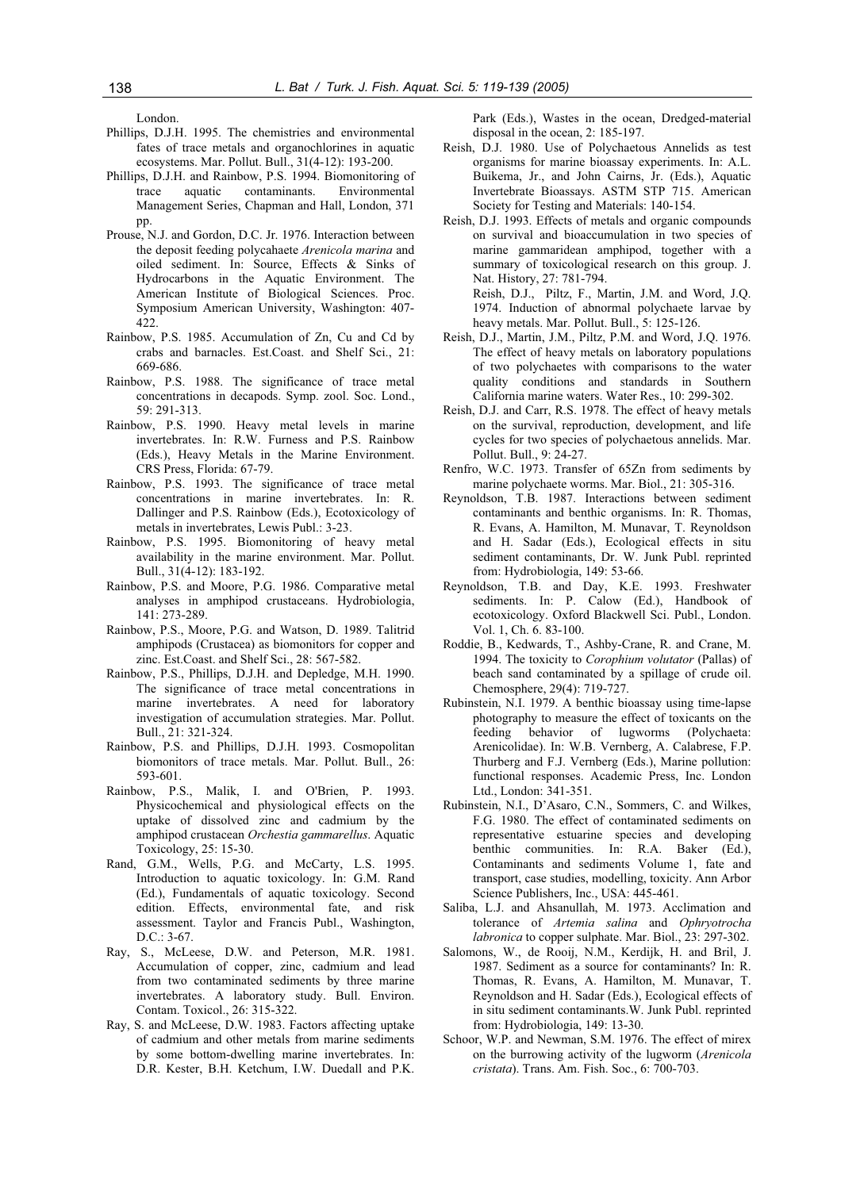London.

- Phillips, D.J.H. 1995. The chemistries and environmental fates of trace metals and organochlorines in aquatic ecosystems. Mar. Pollut. Bull., 31(4-12): 193-200.
- Phillips, D.J.H. and Rainbow, P.S. 1994. Biomonitoring of trace aquatic contaminants. Environmental Management Series, Chapman and Hall, London, 371 pp.
- Prouse, N.J. and Gordon, D.C. Jr. 1976. Interaction between the deposit feeding polycahaete *Arenicola marina* and oiled sediment. In: Source, Effects & Sinks of Hydrocarbons in the Aquatic Environment. The American Institute of Biological Sciences. Proc. Symposium American University, Washington: 407- 422.
- Rainbow, P.S. 1985. Accumulation of Zn, Cu and Cd by crabs and barnacles. Est.Coast. and Shelf Sci., 21: 669-686.
- Rainbow, P.S. 1988. The significance of trace metal concentrations in decapods. Symp. zool. Soc. Lond., 59: 291-313.
- Rainbow, P.S. 1990. Heavy metal levels in marine invertebrates. In: R.W. Furness and P.S. Rainbow (Eds.), Heavy Metals in the Marine Environment. CRS Press, Florida: 67-79.
- Rainbow, P.S. 1993. The significance of trace metal concentrations in marine invertebrates. In: R. Dallinger and P.S. Rainbow (Eds.), Ecotoxicology of metals in invertebrates, Lewis Publ.: 3-23.
- Rainbow, P.S. 1995. Biomonitoring of heavy metal availability in the marine environment. Mar. Pollut. Bull., 31(4-12): 183-192.
- Rainbow, P.S. and Moore, P.G. 1986. Comparative metal analyses in amphipod crustaceans. Hydrobiologia, 141: 273-289.
- Rainbow, P.S., Moore, P.G. and Watson, D. 1989. Talitrid amphipods (Crustacea) as biomonitors for copper and zinc. Est.Coast. and Shelf Sci., 28: 567-582.
- Rainbow, P.S., Phillips, D.J.H. and Depledge, M.H. 1990. The significance of trace metal concentrations in marine invertebrates. A need for laboratory investigation of accumulation strategies. Mar. Pollut. Bull., 21: 321-324.
- Rainbow, P.S. and Phillips, D.J.H. 1993. Cosmopolitan biomonitors of trace metals. Mar. Pollut. Bull., 26: 593-601.
- Rainbow, P.S., Malik, I. and O'Brien, P. 1993. Physicochemical and physiological effects on the uptake of dissolved zinc and cadmium by the amphipod crustacean *Orchestia gammarellus*. Aquatic Toxicology, 25: 15-30.
- Rand, G.M., Wells, P.G. and McCarty, L.S. 1995. Introduction to aquatic toxicology. In: G.M. Rand (Ed.), Fundamentals of aquatic toxicology. Second edition. Effects, environmental fate, and risk assessment. Taylor and Francis Publ., Washington, D.C.: 3-67.
- Ray, S., McLeese, D.W. and Peterson, M.R. 1981. Accumulation of copper, zinc, cadmium and lead from two contaminated sediments by three marine invertebrates. A laboratory study. Bull. Environ. Contam. Toxicol., 26: 315-322.
- Ray, S. and McLeese, D.W. 1983. Factors affecting uptake of cadmium and other metals from marine sediments by some bottom-dwelling marine invertebrates. In: D.R. Kester, B.H. Ketchum, I.W. Duedall and P.K.

Park (Eds.), Wastes in the ocean, Dredged-material disposal in the ocean, 2: 185-197.

- Reish, D.J. 1980. Use of Polychaetous Annelids as test organisms for marine bioassay experiments. In: A.L. Buikema, Jr., and John Cairns, Jr. (Eds.), Aquatic Invertebrate Bioassays. ASTM STP 715. American Society for Testing and Materials: 140-154.
- Reish, D.J. 1993. Effects of metals and organic compounds on survival and bioaccumulation in two species of marine gammaridean amphipod, together with a summary of toxicological research on this group. J. Nat. History, 27: 781-794. Reish, D.J., Piltz, F., Martin, J.M. and Word, J.Q. 1974. Induction of abnormal polychaete larvae by
- heavy metals. Mar. Pollut. Bull., 5: 125-126. Reish, D.J., Martin, J.M., Piltz, P.M. and Word, J.Q. 1976. The effect of heavy metals on laboratory populations of two polychaetes with comparisons to the water quality conditions and standards in Southern California marine waters. Water Res., 10: 299-302.
- Reish, D.J. and Carr, R.S. 1978. The effect of heavy metals on the survival, reproduction, development, and life cycles for two species of polychaetous annelids. Mar. Pollut. Bull., 9: 24-27.
- Renfro, W.C. 1973. Transfer of 65Zn from sediments by marine polychaete worms. Mar. Biol., 21: 305-316.
- Reynoldson, T.B. 1987. Interactions between sediment contaminants and benthic organisms. In: R. Thomas, R. Evans, A. Hamilton, M. Munavar, T. Reynoldson and H. Sadar (Eds.), Ecological effects in situ sediment contaminants, Dr. W. Junk Publ. reprinted from: Hydrobiologia, 149: 53-66.
- Reynoldson, T.B. and Day, K.E. 1993. Freshwater sediments. In: P. Calow (Ed.), Handbook of ecotoxicology. Oxford Blackwell Sci. Publ., London. Vol. 1, Ch. 6. 83-100.
- Roddie, B., Kedwards, T., Ashby-Crane, R. and Crane, M. 1994. The toxicity to *Corophium volutator* (Pallas) of beach sand contaminated by a spillage of crude oil. Chemosphere, 29(4): 719-727.
- Rubinstein, N.I. 1979. A benthic bioassay using time-lapse photography to measure the effect of toxicants on the feeding behavior of lugworms (Polychaeta: behavior of lugworms (Polychaeta: Arenicolidae). In: W.B. Vernberg, A. Calabrese, F.P. Thurberg and F.J. Vernberg (Eds.), Marine pollution: functional responses. Academic Press, Inc. London Ltd., London: 341-351.
- Rubinstein, N.I., D'Asaro, C.N., Sommers, C. and Wilkes, F.G. 1980. The effect of contaminated sediments on representative estuarine species and developing benthic communities. In: R.A. Baker (Ed.), Contaminants and sediments Volume 1, fate and transport, case studies, modelling, toxicity. Ann Arbor Science Publishers, Inc., USA: 445-461.
- Saliba, L.J. and Ahsanullah, M. 1973. Acclimation and tolerance of *Artemia salina* and *Ophryotrocha labronica* to copper sulphate. Mar. Biol., 23: 297-302.
- Salomons, W., de Rooij, N.M., Kerdijk, H. and Bril, J. 1987. Sediment as a source for contaminants? In: R. Thomas, R. Evans, A. Hamilton, M. Munavar, T. Reynoldson and H. Sadar (Eds.), Ecological effects of in situ sediment contaminants.W. Junk Publ. reprinted from: Hydrobiologia, 149: 13-30.
- Schoor, W.P. and Newman, S.M. 1976. The effect of mirex on the burrowing activity of the lugworm (*Arenicola cristata*). Trans. Am. Fish. Soc., 6: 700-703.